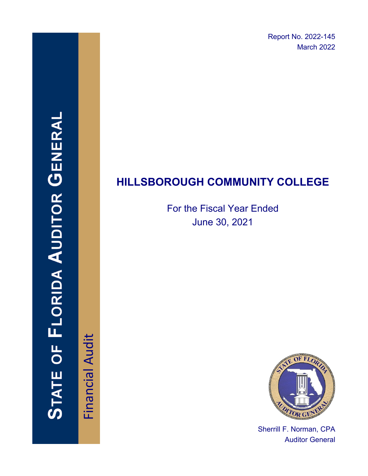Report No. 2022-145 March 2022

# STATE OF FLORIDA AUDITOR GENERA

Financial Audit Financial Audit

# **HILLSBOROUGH COMMUNITY COLLEGE**

For the Fiscal Year Ended June 30, 2021



Sherrill F. Norman, CPA Auditor General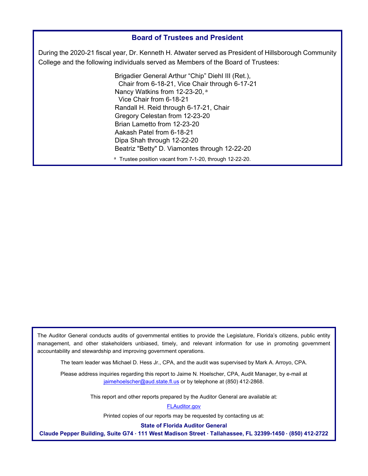# **Board of Trustees and President**

During the 2020-21 fiscal year, Dr. Kenneth H. Atwater served as President of Hillsborough Community College and the following individuals served as Members of the Board of Trustees:

> Brigadier General Arthur "Chip" Diehl III (Ret.), Chair from 6-18-21, Vice Chair through 6-17-21 Nancy Watkins from 12-23-20, a Vice Chair from 6-18-21 Randall H. Reid through 6-17-21, Chair Gregory Celestan from 12-23-20 Brian Lametto from 12-23-20 Aakash Patel from 6-18-21 Dipa Shah through 12-22-20 Beatriz "Betty" D. Viamontes through 12-22-20

a Trustee position vacant from 7-1-20, through 12-22-20.

The Auditor General conducts audits of governmental entities to provide the Legislature, Florida's citizens, public entity management, and other stakeholders unbiased, timely, and relevant information for use in promoting government accountability and stewardship and improving government operations.

The team leader was Michael D. Hess Jr., CPA, and the audit was supervised by Mark A. Arroyo, CPA.

Please address inquiries regarding this report to Jaime N. Hoelscher, CPA, Audit Manager, by e-mail at jaimehoelscher@aud.state.fl.us or by telephone at (850) 412-2868.

This report and other reports prepared by the Auditor General are available at:

[FLAuditor.gov](http://flauditor.gov/) 

Printed copies of our reports may be requested by contacting us at:

**State of Florida Auditor General** 

**Claude Pepper Building, Suite G74 · 111 West Madison Street · Tallahassee, FL 32399-1450 · (850) 412-2722**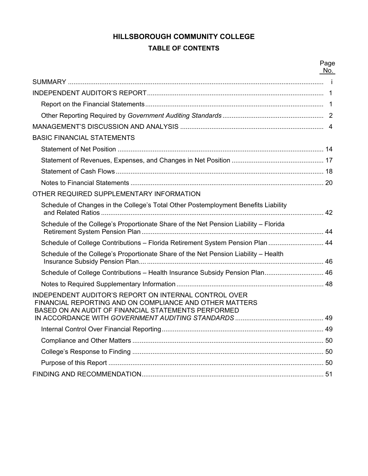# **HILLSBOROUGH COMMUNITY COLLEGE TABLE OF CONTENTS**

Page

|                                                                                                                                                                         | No. |
|-------------------------------------------------------------------------------------------------------------------------------------------------------------------------|-----|
|                                                                                                                                                                         |     |
|                                                                                                                                                                         |     |
|                                                                                                                                                                         |     |
|                                                                                                                                                                         |     |
|                                                                                                                                                                         |     |
| <b>BASIC FINANCIAL STATEMENTS</b>                                                                                                                                       |     |
|                                                                                                                                                                         |     |
|                                                                                                                                                                         |     |
|                                                                                                                                                                         |     |
|                                                                                                                                                                         |     |
| OTHER REQUIRED SUPPLEMENTARY INFORMATION                                                                                                                                |     |
| Schedule of Changes in the College's Total Other Postemployment Benefits Liability                                                                                      |     |
| Schedule of the College's Proportionate Share of the Net Pension Liability - Florida                                                                                    |     |
| Schedule of College Contributions - Florida Retirement System Pension Plan  44                                                                                          |     |
| Schedule of the College's Proportionate Share of the Net Pension Liability - Health                                                                                     |     |
| Schedule of College Contributions - Health Insurance Subsidy Pension Plan 46                                                                                            |     |
|                                                                                                                                                                         |     |
| INDEPENDENT AUDITOR'S REPORT ON INTERNAL CONTROL OVER<br>FINANCIAL REPORTING AND ON COMPLIANCE AND OTHER MATTERS<br>BASED ON AN AUDIT OF FINANCIAL STATEMENTS PERFORMED |     |
|                                                                                                                                                                         |     |
|                                                                                                                                                                         |     |
|                                                                                                                                                                         |     |
|                                                                                                                                                                         |     |
|                                                                                                                                                                         |     |
|                                                                                                                                                                         |     |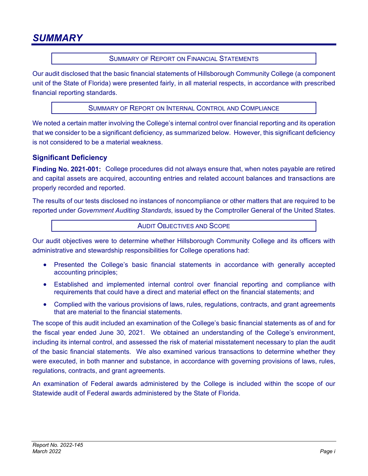# SUMMARY OF REPORT ON FINANCIAL STATEMENTS

<span id="page-3-0"></span>Our audit disclosed that the basic financial statements of Hillsborough Community College (a component unit of the State of Florida) were presented fairly, in all material respects, in accordance with prescribed financial reporting standards.

SUMMARY OF REPORT ON INTERNAL CONTROL AND COMPLIANCE

We noted a certain matter involving the College's internal control over financial reporting and its operation that we consider to be a significant deficiency, as summarized below. However, this significant deficiency is not considered to be a material weakness.

# **Significant Deficiency**

Finding No. 2021-001: College procedures did not always ensure that, when notes payable are retired and capital assets are acquired, accounting entries and related account balances and transactions are properly recorded and reported.

The results of our tests disclosed no instances of noncompliance or other matters that are required to be reported under *Government Auditing Standards*, issued by the Comptroller General of the United States.

# AUDIT OBJECTIVES AND SCOPE

Our audit objectives were to determine whether Hillsborough Community College and its officers with administrative and stewardship responsibilities for College operations had:

- Presented the College's basic financial statements in accordance with generally accepted accounting principles;
- Established and implemented internal control over financial reporting and compliance with requirements that could have a direct and material effect on the financial statements; and
- Complied with the various provisions of laws, rules, regulations, contracts, and grant agreements that are material to the financial statements.

The scope of this audit included an examination of the College's basic financial statements as of and for the fiscal year ended June 30, 2021. We obtained an understanding of the College's environment, including its internal control, and assessed the risk of material misstatement necessary to plan the audit of the basic financial statements. We also examined various transactions to determine whether they were executed, in both manner and substance, in accordance with governing provisions of laws, rules, regulations, contracts, and grant agreements.

An examination of Federal awards administered by the College is included within the scope of our Statewide audit of Federal awards administered by the State of Florida.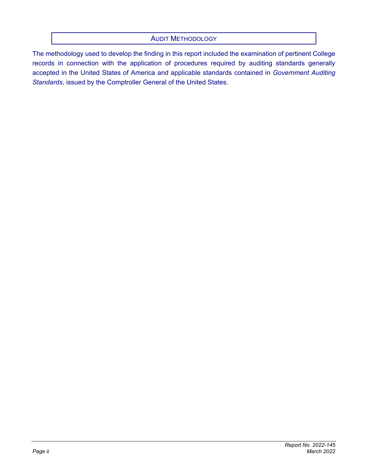# AUDIT METHODOLOGY

The methodology used to develop the finding in this report included the examination of pertinent College records in connection with the application of procedures required by auditing standards generally accepted in the United States of America and applicable standards contained in *Government Auditing Standards*, issued by the Comptroller General of the United States.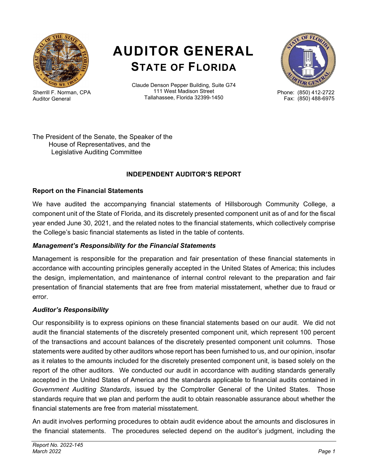<span id="page-5-0"></span>

Sherrill F. Norman, CPA Auditor General

# **AUDITOR GENERAL STATE OF FLORIDA**

Claude Denson Pepper Building, Suite G74 111 West Madison Street Tallahassee, Florida 32399-1450



Phone: (850) 412-2722 Fax: (850) 488-6975

The President of the Senate, the Speaker of the House of Representatives, and the Legislative Auditing Committee

# **INDEPENDENT AUDITOR'S REPORT**

# **Report on the Financial Statements**

We have audited the accompanying financial statements of Hillsborough Community College, a component unit of the State of Florida, and its discretely presented component unit as of and for the fiscal year ended June 30, 2021, and the related notes to the financial statements, which collectively comprise the College's basic financial statements as listed in the table of contents.

# *Management's Responsibility for the Financial Statements*

Management is responsible for the preparation and fair presentation of these financial statements in accordance with accounting principles generally accepted in the United States of America; this includes the design, implementation, and maintenance of internal control relevant to the preparation and fair presentation of financial statements that are free from material misstatement, whether due to fraud or error.

# *Auditor's Responsibility*

Our responsibility is to express opinions on these financial statements based on our audit. We did not audit the financial statements of the discretely presented component unit, which represent 100 percent of the transactions and account balances of the discretely presented component unit columns. Those statements were audited by other auditors whose report has been furnished to us, and our opinion, insofar as it relates to the amounts included for the discretely presented component unit, is based solely on the report of the other auditors. We conducted our audit in accordance with auditing standards generally accepted in the United States of America and the standards applicable to financial audits contained in *Government Auditing Standards*, issued by the Comptroller General of the United States. Those standards require that we plan and perform the audit to obtain reasonable assurance about whether the financial statements are free from material misstatement.

An audit involves performing procedures to obtain audit evidence about the amounts and disclosures in the financial statements. The procedures selected depend on the auditor's judgment, including the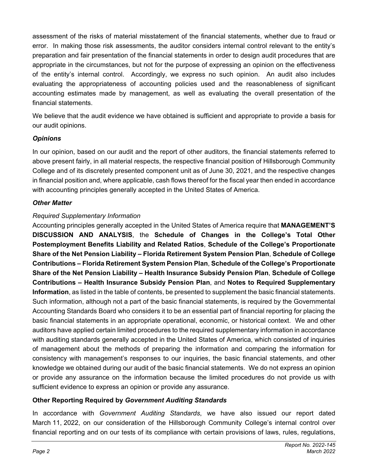<span id="page-6-0"></span>assessment of the risks of material misstatement of the financial statements, whether due to fraud or error. In making those risk assessments, the auditor considers internal control relevant to the entity's preparation and fair presentation of the financial statements in order to design audit procedures that are appropriate in the circumstances, but not for the purpose of expressing an opinion on the effectiveness of the entity's internal control. Accordingly, we express no such opinion. An audit also includes evaluating the appropriateness of accounting policies used and the reasonableness of significant accounting estimates made by management, as well as evaluating the overall presentation of the financial statements.

We believe that the audit evidence we have obtained is sufficient and appropriate to provide a basis for our audit opinions.

# *Opinions*

In our opinion, based on our audit and the report of other auditors, the financial statements referred to above present fairly, in all material respects, the respective financial position of Hillsborough Community College and of its discretely presented component unit as of June 30, 2021, and the respective changes in financial position and, where applicable, cash flows thereof for the fiscal year then ended in accordance with accounting principles generally accepted in the United States of America.

# *Other Matter*

# *Required Supplementary Information*

Accounting principles generally accepted in the United States of America require that **MANAGEMENT'S DISCUSSION AND ANALYSIS**, the **Schedule of Changes in the College's Total Other Postemployment Benefits Liability and Related Ratios**, **Schedule of the College's Proportionate Share of the Net Pension Liability – Florida Retirement System Pension Plan**, **Schedule of College Contributions – Florida Retirement System Pension Plan**, **Schedule of the College's Proportionate Share of the Net Pension Liability – Health Insurance Subsidy Pension Plan**, **Schedule of College Contributions – Health Insurance Subsidy Pension Plan**, and **Notes to Required Supplementary Information**, as listed in the table of contents, be presented to supplement the basic financial statements. Such information, although not a part of the basic financial statements, is required by the Governmental Accounting Standards Board who considers it to be an essential part of financial reporting for placing the basic financial statements in an appropriate operational, economic, or historical context. We and other auditors have applied certain limited procedures to the required supplementary information in accordance with auditing standards generally accepted in the United States of America, which consisted of inquiries of management about the methods of preparing the information and comparing the information for consistency with management's responses to our inquiries, the basic financial statements, and other knowledge we obtained during our audit of the basic financial statements. We do not express an opinion or provide any assurance on the information because the limited procedures do not provide us with sufficient evidence to express an opinion or provide any assurance.

# **Other Reporting Required by** *Government Auditing Standards*

In accordance with *Government Auditing Standards*, we have also issued our report dated March 11, 2022, on our consideration of the Hillsborough Community College's internal control over financial reporting and on our tests of its compliance with certain provisions of laws, rules, regulations,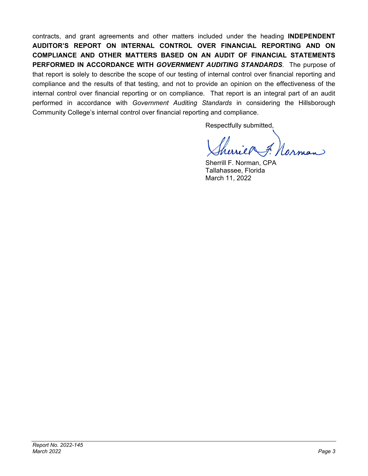contracts, and grant agreements and other matters included under the heading **INDEPENDENT AUDITOR'S REPORT ON INTERNAL CONTROL OVER FINANCIAL REPORTING AND ON COMPLIANCE AND OTHER MATTERS BASED ON AN AUDIT OF FINANCIAL STATEMENTS PERFORMED IN ACCORDANCE WITH** *GOVERNMENT AUDITING STANDARDS*. The purpose of that report is solely to describe the scope of our testing of internal control over financial reporting and compliance and the results of that testing, and not to provide an opinion on the effectiveness of the internal control over financial reporting or on compliance. That report is an integral part of an audit performed in accordance with *Government Auditing Standards* in considering the Hillsborough Community College's internal control over financial reporting and compliance.

Respectfully submitted,

Sherrill F. Norman, CPA Tallahassee, Florida March 11, 2022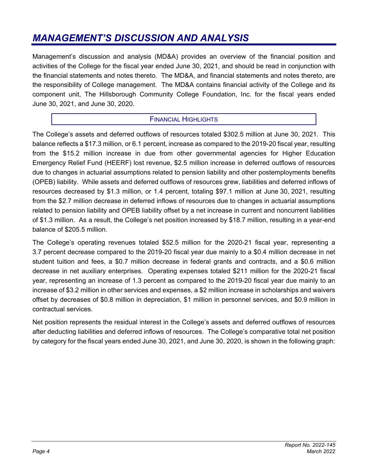# <span id="page-8-0"></span>*MANAGEMENT'S DISCUSSION AND ANALYSIS*

Management's discussion and analysis (MD&A) provides an overview of the financial position and activities of the College for the fiscal year ended June 30, 2021, and should be read in conjunction with the financial statements and notes thereto. The MD&A, and financial statements and notes thereto, are the responsibility of College management. The MD&A contains financial activity of the College and its component unit, The Hillsborough Community College Foundation, Inc. for the fiscal years ended June 30, 2021, and June 30, 2020.

# FINANCIAL HIGHLIGHTS

The College's assets and deferred outflows of resources totaled \$302.5 million at June 30, 2021. This balance reflects a \$17.3 million, or 6.1 percent, increase as compared to the 2019-20 fiscal year, resulting from the \$15.2 million increase in due from other governmental agencies for Higher Education Emergency Relief Fund (HEERF) lost revenue, \$2.5 million increase in deferred outflows of resources due to changes in actuarial assumptions related to pension liability and other postemployments benefits (OPEB) liability. While assets and deferred outflows of resources grew, liabilities and deferred inflows of resources decreased by \$1.3 million, or 1.4 percent, totaling \$97.1 million at June 30, 2021, resulting from the \$2.7 million decrease in deferred inflows of resources due to changes in actuarial assumptions related to pension liability and OPEB liability offset by a net increase in current and noncurrent liabilities of \$1.3 million. As a result, the College's net position increased by \$18.7 million, resulting in a year-end balance of \$205.5 million.

The College's operating revenues totaled \$52.5 million for the 2020-21 fiscal year, representing a 3.7 percent decrease compared to the 2019-20 fiscal year due mainly to a \$0.4 million decrease in net student tuition and fees, a \$0.7 million decrease in federal grants and contracts, and a \$0.6 million decrease in net auxiliary enterprises. Operating expenses totaled \$211 million for the 2020-21 fiscal year, representing an increase of 1.3 percent as compared to the 2019-20 fiscal year due mainly to an increase of \$3.2 million in other services and expenses, a \$2 million increase in scholarships and waivers offset by decreases of \$0.8 million in depreciation, \$1 million in personnel services, and \$0.9 million in contractual services.

Net position represents the residual interest in the College's assets and deferred outflows of resources after deducting liabilities and deferred inflows of resources. The College's comparative total net position by category for the fiscal years ended June 30, 2021, and June 30, 2020, is shown in the following graph: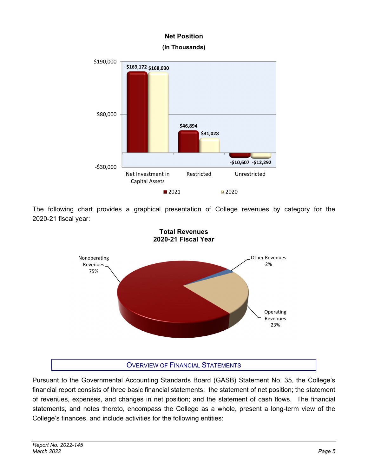# **Net Position (In Thousands)**



The following chart provides a graphical presentation of College revenues by category for the 2020-21 fiscal year:



Pursuant to the Governmental Accounting Standards Board (GASB) Statement No. 35, the College's financial report consists of three basic financial statements: the statement of net position; the statement of revenues, expenses, and changes in net position; and the statement of cash flows. The financial statements, and notes thereto, encompass the College as a whole, present a long-term view of the College's finances, and include activities for the following entities: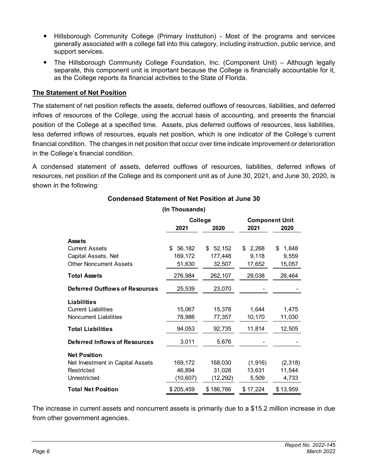- Hillsborough Community College (Primary Institution) Most of the programs and services generally associated with a college fall into this category, including instruction, public service, and support services.
- The Hillsborough Community College Foundation, Inc. (Component Unit) Although legally separate, this component unit is important because the College is financially accountable for it, as the College reports its financial activities to the State of Florida.

# **The Statement of Net Position**

The statement of net position reflects the assets, deferred outflows of resources, liabilities, and deferred inflows of resources of the College, using the accrual basis of accounting, and presents the financial position of the College at a specified time. Assets, plus deferred outflows of resources, less liabilities, less deferred inflows of resources, equals net position, which is one indicator of the College's current financial condition. The changes in net position that occur over time indicate improvement or deterioration in the College's financial condition.

A condensed statement of assets, deferred outflows of resources, liabilities, deferred inflows of resources, net position of the College and its component unit as of June 30, 2021, and June 30, 2020, is shown in the following:

| (III THUUSAHUS)                       |              |           |                       |             |  |  |  |
|---------------------------------------|--------------|-----------|-----------------------|-------------|--|--|--|
|                                       | College      |           | <b>Component Unit</b> |             |  |  |  |
|                                       | 2021         | 2020      | 2021                  | 2020        |  |  |  |
| <b>Assets</b>                         |              |           |                       |             |  |  |  |
| <b>Current Assets</b>                 | 56,182<br>\$ | \$52,152  | \$2,268               | \$<br>1,848 |  |  |  |
| Capital Assets, Net                   | 169,172      | 177,448   | 9,118                 | 9,559       |  |  |  |
| <b>Other Noncurrent Assets</b>        | 51,630       | 32,507    | 17,652                | 15,057      |  |  |  |
| <b>Total Assets</b>                   | 276,984      | 262,107   | 29,038                | 26,464      |  |  |  |
| <b>Deferred Outflows of Resources</b> | 25,539       | 23,070    |                       |             |  |  |  |
| Liabilities                           |              |           |                       |             |  |  |  |
| <b>Current Liabilities</b>            | 15,067       | 15,378    | 1,644                 | 1,475       |  |  |  |
| <b>Noncurrent Liabilities</b>         | 78,986       | 77,357    | 10,170                | 11,030      |  |  |  |
| <b>Total Liabilities</b>              | 94,053       | 92,735    | 11,814                | 12,505      |  |  |  |
| Deferred Inflows of Resources         | 3,011        | 5,676     |                       |             |  |  |  |
| <b>Net Position</b>                   |              |           |                       |             |  |  |  |
| Net Investment in Capital Assets      | 169,172      | 168,030   | (1,916)               | (2,318)     |  |  |  |
| Restricted                            | 46,894       | 31,028    | 13,631                | 11,544      |  |  |  |
| Unrestricted                          | (10, 607)    | (12, 292) | 5,509                 | 4,733       |  |  |  |
| <b>Total Net Position</b>             | \$205,459    | \$186,766 | \$17,224              | \$13,959    |  |  |  |

# **Condensed Statement of Net Position at June 30**

**(In Thousands)** 

The increase in current assets and noncurrent assets is primarily due to a \$15.2 million increase in due from other government agencies.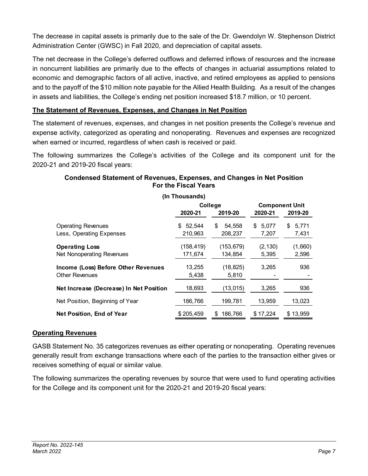The decrease in capital assets is primarily due to the sale of the Dr. Gwendolyn W. Stephenson District Administration Center (GWSC) in Fall 2020, and depreciation of capital assets.

The net decrease in the College's deferred outflows and deferred inflows of resources and the increase in noncurrent liabilities are primarily due to the effects of changes in actuarial assumptions related to economic and demographic factors of all active, inactive, and retired employees as applied to pensions and to the payoff of the \$10 million note payable for the Allied Health Building. As a result of the changes in assets and liabilities, the College's ending net position increased \$18.7 million, or 10 percent.

# **The Statement of Revenues, Expenses, and Changes in Net Position**

The statement of revenues, expenses, and changes in net position presents the College's revenue and expense activity, categorized as operating and nonoperating. Revenues and expenses are recognized when earned or incurred, regardless of when cash is received or paid.

The following summarizes the College's activities of the College and its component unit for the 2020-21 and 2019-20 fiscal years:

### **Condensed Statement of Revenues, Expenses, and Changes in Net Position For the Fiscal Years (In Thousands)**

|                                         | (in Thousands) |               |                       |             |  |
|-----------------------------------------|----------------|---------------|-----------------------|-------------|--|
|                                         |                | College       | <b>Component Unit</b> |             |  |
|                                         | 2020-21        | 2019-20       | 2020-21               | 2019-20     |  |
| <b>Operating Revenues</b>               | \$52,544       | \$<br>54,558  | \$5,077               | 5,771<br>\$ |  |
| Less, Operating Expenses                | 210,963        | 208.237       | 7,207                 | 7,431       |  |
| <b>Operating Loss</b>                   | (158, 419)     | (153, 679)    | (2, 130)              | (1,660)     |  |
| Net Nonoperating Revenues               | 171,674        | 134,854       | 5,395                 | 2,596       |  |
| Income (Loss) Before Other Revenues     | 13,255         | (18, 825)     | 3,265                 | 936         |  |
| <b>Other Revenues</b>                   | 5,438          | 5,810         |                       |             |  |
| Net Increase (Decrease) In Net Position | 18,693         | (13, 015)     | 3,265                 | 936         |  |
| Net Position, Beginning of Year         | 186,766        | 199,781       | 13,959                | 13,023      |  |
| <b>Net Position, End of Year</b>        | \$205,459      | 186.766<br>\$ | \$17,224              | \$13,959    |  |

# **Operating Revenues**

GASB Statement No. 35 categorizes revenues as either operating or nonoperating. Operating revenues generally result from exchange transactions where each of the parties to the transaction either gives or receives something of equal or similar value.

The following summarizes the operating revenues by source that were used to fund operating activities for the College and its component unit for the 2020-21 and 2019-20 fiscal years: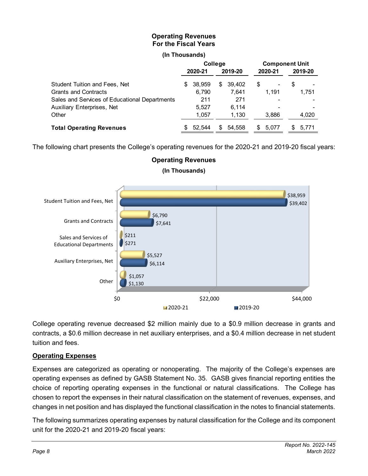# **Operating Revenues For the Fiscal Years**

### **(In Thousands)**

|                                               | College |        |         | <b>Component Unit</b> |         |       |         |       |
|-----------------------------------------------|---------|--------|---------|-----------------------|---------|-------|---------|-------|
|                                               | 2020-21 |        | 2019-20 |                       | 2020-21 |       | 2019-20 |       |
| <b>Student Tuition and Fees, Net</b>          | \$      | 38.959 | \$      | 39.402                | \$      | ٠     | S       |       |
| <b>Grants and Contracts</b>                   |         | 6.790  |         | 7.641                 |         | 1.191 |         | 1.751 |
| Sales and Services of Educational Departments |         | 211    |         | 271                   |         |       |         |       |
| Auxiliary Enterprises, Net                    |         | 5.527  |         | 6.114                 |         |       |         |       |
| Other                                         |         | 1,057  |         | 1,130                 |         | 3,886 |         | 4,020 |
| <b>Total Operating Revenues</b>               |         | 52.544 | \$.     | 54.558                | S.      | 5.077 |         | 5.771 |

The following chart presents the College's operating revenues for the 2020-21 and 2019-20 fiscal years:



# **Operating Revenues**

**(In Thousands)** 

College operating revenue decreased \$2 million mainly due to a \$0.9 million decrease in grants and contracts, a \$0.6 million decrease in net auxiliary enterprises, and a \$0.4 million decrease in net student tuition and fees.

# **Operating Expenses**

Expenses are categorized as operating or nonoperating. The majority of the College's expenses are operating expenses as defined by GASB Statement No. 35. GASB gives financial reporting entities the choice of reporting operating expenses in the functional or natural classifications. The College has chosen to report the expenses in their natural classification on the statement of revenues, expenses, and changes in net position and has displayed the functional classification in the notes to financial statements.

The following summarizes operating expenses by natural classification for the College and its component unit for the 2020-21 and 2019-20 fiscal years: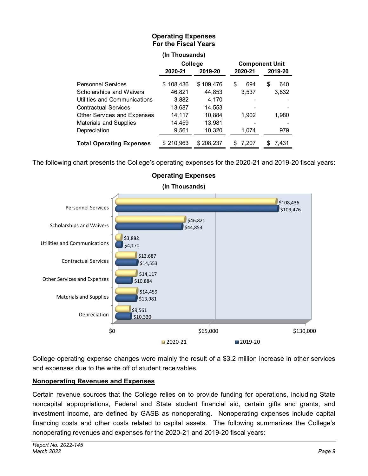# **Operating Expenses For the Fiscal Years**

**(In Thousands)** 

|                                    | College        |           |              | <b>Component Unit</b> |
|------------------------------------|----------------|-----------|--------------|-----------------------|
|                                    | 2020-21        | 2019-20   | 2020-21      | 2019-20               |
| <b>Personnel Services</b>          | 108,436<br>\$. | \$109,476 | 694<br>S     | \$<br>640             |
| Scholarships and Waivers           | 46,821         | 44,853    | 3,537        | 3,832                 |
| Utilities and Communications       | 3,882          | 4,170     |              |                       |
| <b>Contractual Services</b>        | 13,687         | 14,553    |              |                       |
| <b>Other Services and Expenses</b> | 14,117         | 10,884    | 1,902        | 1,980                 |
| Materials and Supplies             | 14,459         | 13,981    |              |                       |
| Depreciation                       | 9,561          | 10,320    | 1,074        | 979                   |
| <b>Total Operating Expenses</b>    | \$210,963      | \$208,237 | 7,207<br>\$. | 7,431<br>S            |

The following chart presents the College's operating expenses for the 2020-21 and 2019-20 fiscal years:



# **Operating Expenses**

**(In Thousands)** 

College operating expense changes were mainly the result of a \$3.2 million increase in other services and expenses due to the write off of student receivables.

# **Nonoperating Revenues and Expenses**

Certain revenue sources that the College relies on to provide funding for operations, including State noncapital appropriations, Federal and State student financial aid, certain gifts and grants, and investment income, are defined by GASB as nonoperating. Nonoperating expenses include capital financing costs and other costs related to capital assets. The following summarizes the College's nonoperating revenues and expenses for the 2020-21 and 2019-20 fiscal years: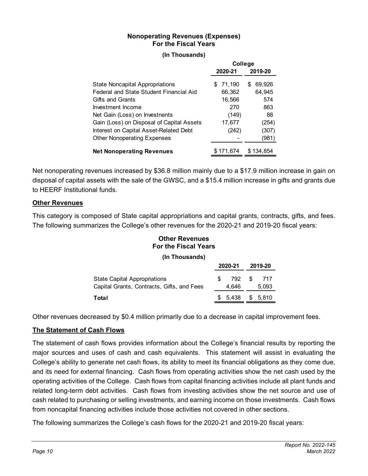# **Nonoperating Revenues (Expenses) For the Fiscal Years**

# **(In Thousands)**

**College**

**2020-21 2019-20**

|                                           | <b>POLICAC</b>     |              |  |
|-------------------------------------------|--------------------|--------------|--|
|                                           | 2019-20<br>2020-21 |              |  |
| <b>State Noncapital Appropriations</b>    | 71,190<br>S.       | 69,926<br>\$ |  |
| Federal and State Student Financial Aid   | 66,362             | 64,945       |  |
| Gifts and Grants                          | 16,566             | 574          |  |
| Investment Income                         | 270                | 863          |  |
| Net Gain (Loss) on Investnents            | (149)              | 88           |  |
| Gain (Loss) on Disposal of Capital Assets | 17,677             | (254)        |  |
| Interest on Capital Asset-Related Debt    | (242)              | (307)        |  |
| <b>Other Nonoperating Expenses</b>        |                    | (981)        |  |
| <b>Net Nonoperating Revenues</b>          | \$171.674          | \$134.854    |  |

Net nonoperating revenues increased by \$36.8 million mainly due to a \$17.9 million increase in gain on disposal of capital assets with the sale of the GWSC, and a \$15.4 million increase in gifts and grants due to HEERF Institutional funds.

# **Other Revenues**

This category is composed of State capital appropriations and capital grants, contracts, gifts, and fees. The following summarizes the College's other revenues for the 2020-21 and 2019-20 fiscal years:

# **Other Revenues For the Fiscal Years**

### **(In Thousands)**

|                                                                                   | ZUZU-Z1       |                   | 2019-20 |                     |
|-----------------------------------------------------------------------------------|---------------|-------------------|---------|---------------------|
| <b>State Capital Appropriations</b><br>Capital Grants, Contracts, Gifts, and Fees | $\mathcal{S}$ | 4.646             |         | 792 \$ 717<br>5.093 |
| Total                                                                             |               | $$5,438$ $$5,810$ |         |                     |

Other revenues decreased by \$0.4 million primarily due to a decrease in capital improvement fees.

# **The Statement of Cash Flows**

The statement of cash flows provides information about the College's financial results by reporting the major sources and uses of cash and cash equivalents. This statement will assist in evaluating the College's ability to generate net cash flows, its ability to meet its financial obligations as they come due, and its need for external financing. Cash flows from operating activities show the net cash used by the operating activities of the College. Cash flows from capital financing activities include all plant funds and related long-term debt activities. Cash flows from investing activities show the net source and use of cash related to purchasing or selling investments, and earning income on those investments. Cash flows from noncapital financing activities include those activities not covered in other sections.

The following summarizes the College's cash flows for the 2020-21 and 2019-20 fiscal years: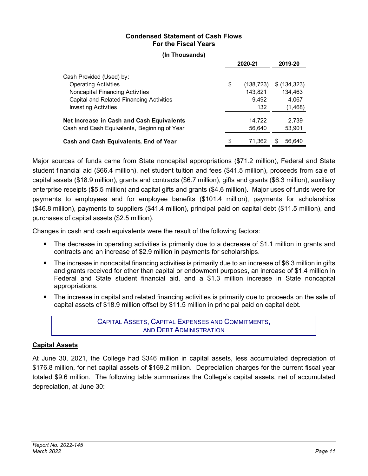# **Condensed Statement of Cash Flows For the Fiscal Years**

**(In Thousands)** 

**2020-21 2019-20**

|                                              | ZUZU-Z I         | 2019-20       |
|----------------------------------------------|------------------|---------------|
| Cash Provided (Used) by:                     |                  |               |
| <b>Operating Activities</b>                  | \$<br>(138, 723) | \$ (134, 323) |
| <b>Noncapital Financing Activities</b>       | 143,821          | 134,463       |
| Capital and Related Financing Activities     | 9.492            | 4,067         |
| <b>Investing Activities</b>                  | 132              | (1, 468)      |
| Net Increase in Cash and Cash Equivalents    | 14,722           | 2,739         |
| Cash and Cash Equivalents, Beginning of Year | 56,640           | 53,901        |
| Cash and Cash Equivalents, End of Year       | \$<br>71.362     | 56.640        |

Major sources of funds came from State noncapital appropriations (\$71.2 million), Federal and State student financial aid (\$66.4 million), net student tuition and fees (\$41.5 million), proceeds from sale of capital assets (\$18.9 million), grants and contracts (\$6.7 million), gifts and grants (\$6.3 million), auxiliary enterprise receipts (\$5.5 million) and capital gifts and grants (\$4.6 million). Major uses of funds were for payments to employees and for employee benefits (\$101.4 million), payments for scholarships (\$46.8 million), payments to suppliers (\$41.4 million), principal paid on capital debt (\$11.5 million), and purchases of capital assets (\$2.5 million).

Changes in cash and cash equivalents were the result of the following factors:

- The decrease in operating activities is primarily due to a decrease of \$1.1 million in grants and contracts and an increase of \$2.9 million in payments for scholarships.
- The increase in noncapital financing activities is primarily due to an increase of \$6.3 million in gifts and grants received for other than capital or endowment purposes, an increase of \$1.4 million in Federal and State student financial aid, and a \$1.3 million increase in State noncapital appropriations.
- The increase in capital and related financing activities is primarily due to proceeds on the sale of capital assets of \$18.9 million offset by \$11.5 million in principal paid on capital debt.

CAPITAL ASSETS, CAPITAL EXPENSES AND COMMITMENTS, AND DEBT ADMINISTRATION

# **Capital Assets**

At June 30, 2021, the College had \$346 million in capital assets, less accumulated depreciation of \$176.8 million, for net capital assets of \$169.2 million. Depreciation charges for the current fiscal year totaled \$9.6 million. The following table summarizes the College's capital assets, net of accumulated depreciation, at June 30: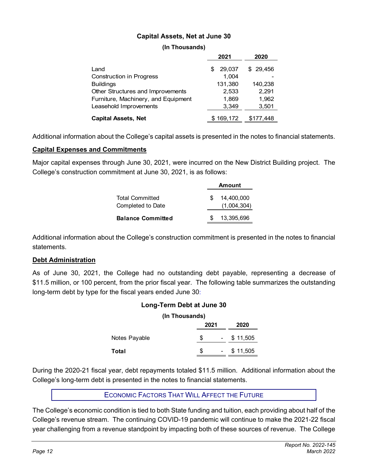# **Capital Assets, Net at June 30**

# **(In Thousands)**

|                                                                          | 2021                            | 2020                |
|--------------------------------------------------------------------------|---------------------------------|---------------------|
| Land<br><b>Construction in Progress</b><br><b>Buildings</b>              | 29.037<br>S<br>1.004<br>131,380 | \$29,456<br>140,238 |
| Other Structures and Improvements<br>Furniture, Machinery, and Equipment | 2,533<br>1,869                  | 2,291<br>1,962      |
| Leasehold Improvements                                                   | 3,349                           | 3,501               |
| <b>Capital Assets, Net</b>                                               | \$169,172                       | \$177,448           |

Additional information about the College's capital assets is presented in the notes to financial statements.

# **Capital Expenses and Commitments**

Major capital expenses through June 30, 2021, were incurred on the New District Building project. The College's construction commitment at June 30, 2021, is as follows:

|                                             | Amount |                           |  |  |
|---------------------------------------------|--------|---------------------------|--|--|
| <b>Total Committed</b><br>Completed to Date |        | 14,400,000<br>(1,004,304) |  |  |
| <b>Balance Committed</b>                    |        | 13,395,696                |  |  |

Additional information about the College's construction commitment is presented in the notes to financial statements.

# **Debt Administration**

As of June 30, 2021, the College had no outstanding debt payable, representing a decrease of \$11.5 million, or 100 percent, from the prior fiscal year. The following table summarizes the outstanding long-term debt by type for the fiscal years ended June 30:

# **Long-Term Debt at June 30**

| (In Thousands) |              |                |          |  |  |  |  |
|----------------|--------------|----------------|----------|--|--|--|--|
|                | 2021<br>2020 |                |          |  |  |  |  |
| Notes Payable  | S            |                | \$11,505 |  |  |  |  |
| Total          | S            | $\blacksquare$ | \$11,505 |  |  |  |  |

During the 2020-21 fiscal year, debt repayments totaled \$11.5 million. Additional information about the College's long-term debt is presented in the notes to financial statements.

# ECONOMIC FACTORS THAT WILL AFFECT THE FUTURE

The College's economic condition is tied to both State funding and tuition, each providing about half of the College's revenue stream. The continuing COVID-19 pandemic will continue to make the 2021-22 fiscal year challenging from a revenue standpoint by impacting both of these sources of revenue. The College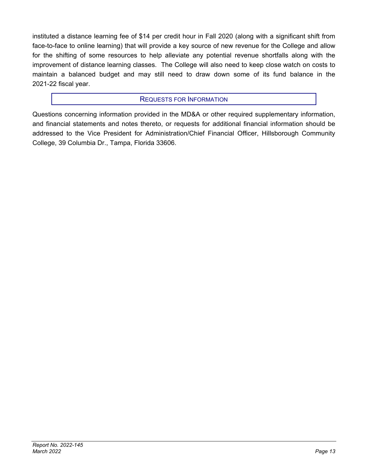instituted a distance learning fee of \$14 per credit hour in Fall 2020 (along with a significant shift from face-to-face to online learning) that will provide a key source of new revenue for the College and allow for the shifting of some resources to help alleviate any potential revenue shortfalls along with the improvement of distance learning classes. The College will also need to keep close watch on costs to maintain a balanced budget and may still need to draw down some of its fund balance in the 2021-22 fiscal year.

# REQUESTS FOR INFORMATION

Questions concerning information provided in the MD&A or other required supplementary information, and financial statements and notes thereto, or requests for additional financial information should be addressed to the Vice President for Administration/Chief Financial Officer, Hillsborough Community College, 39 Columbia Dr., Tampa, Florida 33606.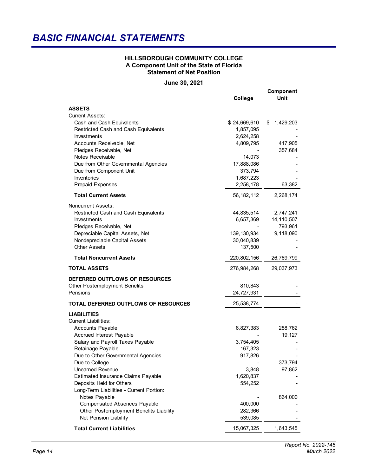# <span id="page-18-0"></span>*BASIC FINANCIAL STATEMENTS*

### **HILLSBOROUGH COMMUNITY COLLEGE A Component Unit of the State of Florida Statement of Net Position**

**June 30, 2021** 

|                                           |               | Component       |
|-------------------------------------------|---------------|-----------------|
|                                           | College       | Unit            |
| <b>ASSETS</b>                             |               |                 |
| <b>Current Assets:</b>                    |               |                 |
| Cash and Cash Equivalents                 | \$24,669,610  | \$<br>1,429,203 |
| Restricted Cash and Cash Equivalents      | 1,857,095     |                 |
| Investments                               | 2,624,258     |                 |
| Accounts Receivable, Net                  | 4,809,795     | 417,905         |
| Pledges Receivable, Net                   |               | 357,684         |
| Notes Receivable                          | 14,073        |                 |
| Due from Other Governmental Agencies      | 17,888,086    |                 |
| Due from Component Unit                   | 373,794       |                 |
| Inventories                               | 1,687,223     |                 |
| <b>Prepaid Expenses</b>                   | 2,258,178     | 63,382          |
| <b>Total Current Assets</b>               | 56, 182, 112  | 2,268,174       |
| Noncurrent Assets:                        |               |                 |
| Restricted Cash and Cash Equivalents      | 44,835,514    | 2,747,241       |
| Investments                               | 6,657,369     | 14,110,507      |
| Pledges Receivable, Net                   |               | 793,961         |
| Depreciable Capital Assets, Net           | 139, 130, 934 | 9,118,090       |
| Nondepreciable Capital Assets             | 30,040,839    |                 |
| <b>Other Assets</b>                       | 137,500       |                 |
|                                           |               |                 |
| <b>Total Noncurrent Assets</b>            | 220,802,156   | 26,769,799      |
| <b>TOTAL ASSETS</b>                       | 276,984,268   | 29,037,973      |
| DEFERRED OUTFLOWS OF RESOURCES            |               |                 |
| <b>Other Postemployment Benefits</b>      | 810,843       |                 |
| Pensions                                  | 24,727,931    |                 |
| TOTAL DEFERRED OUTFLOWS OF RESOURCES      | 25,538,774    |                 |
| <b>LIABILITIES</b>                        |               |                 |
| <b>Current Liabilities:</b>               |               |                 |
| <b>Accounts Payable</b>                   | 6,827,383     | 288,762         |
| Accrued Interest Payable                  |               | 19,127          |
| Salary and Payroll Taxes Payable          | 3,754,405     |                 |
| Retainage Payable                         | 167,323       |                 |
| Due to Other Governmental Agencies        | 917,826       |                 |
| Due to College                            |               | 373,794         |
| <b>Unearned Revenue</b>                   | 3,848         | 97,862          |
| <b>Estimated Insurance Claims Payable</b> | 1,620,837     |                 |
| Deposits Held for Others                  | 554,252       |                 |
| Long-Term Liabilities - Current Portion:  |               |                 |
| Notes Payable                             |               | 864,000         |
| <b>Compensated Absences Payable</b>       | 400,000       |                 |
| Other Postemployment Benefits Liability   | 282,366       |                 |
| Net Pension Liability                     | 539,085       |                 |
| <b>Total Current Liabilities</b>          | 15,067,325    | 1,643,545       |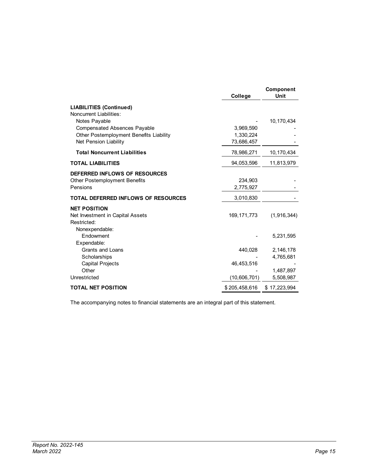|                                                                         | College                 | Component<br>Unit |
|-------------------------------------------------------------------------|-------------------------|-------------------|
| <b>LIABILITIES (Continued)</b><br>Noncurrent Liabilities:               |                         |                   |
| Notes Payable                                                           |                         | 10,170,434        |
| <b>Compensated Absences Payable</b>                                     | 3,969,590               |                   |
| Other Postemployment Benefits Liability<br><b>Net Pension Liability</b> | 1,330,224<br>73,686,457 |                   |
| <b>Total Noncurrent Liabilities</b>                                     |                         |                   |
|                                                                         | 78,986,271              | 10,170,434        |
| <b>TOTAL LIABILITIES</b>                                                | 94,053,596              | 11,813,979        |
| DEFERRED INFLOWS OF RESOURCES                                           |                         |                   |
| <b>Other Postemployment Benefits</b>                                    | 234,903                 |                   |
| Pensions                                                                | 2,775,927               |                   |
| TOTAL DEFERRED INFLOWS OF RESOURCES                                     | 3,010,830               |                   |
| <b>NET POSITION</b>                                                     |                         |                   |
| Net Investment in Capital Assets                                        | 169, 171, 773           | (1,916,344)       |
| Restricted:<br>Nonexpendable:                                           |                         |                   |
| Endowment                                                               |                         | 5,231,595         |
| Expendable:                                                             |                         |                   |
| Grants and Loans                                                        | 440,028                 | 2, 146, 178       |
| Scholarships                                                            |                         | 4,765,681         |
| <b>Capital Projects</b>                                                 | 46,453,516              |                   |
| Other                                                                   |                         | 1,487,897         |
| Unrestricted                                                            | (10,606,701)            | 5,508,987         |
| <b>TOTAL NET POSITION</b>                                               | \$205,458,616           | \$17,223,994      |

The accompanying notes to financial statements are an integral part of this statement.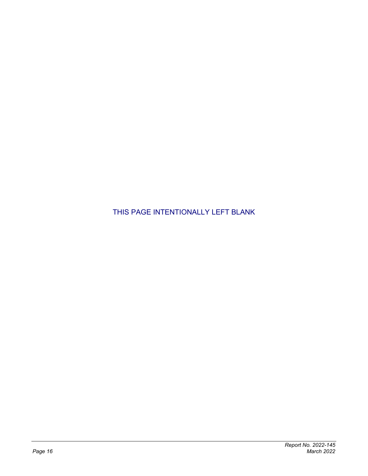THIS PAGE INTENTIONALLY LEFT BLANK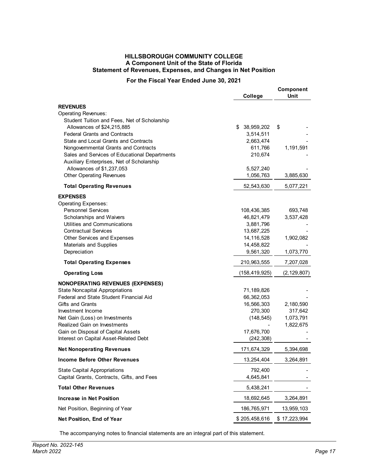### **HILLSBOROUGH COMMUNITY COLLEGE A Component Unit of the State of Florida Statement of Revenues, Expenses, and Changes in Net Position**

### **For the Fiscal Year Ended June 30, 2021**

<span id="page-21-0"></span>

|                                                |                 | Component     |
|------------------------------------------------|-----------------|---------------|
|                                                | College         | Unit          |
| <b>REVENUES</b>                                |                 |               |
| <b>Operating Revenues:</b>                     |                 |               |
| Student Tuition and Fees, Net of Scholarship   |                 |               |
| Allowances of \$24,215,885                     | \$38,959,202    | S             |
| <b>Federal Grants and Contracts</b>            | 3,514,511       |               |
| State and Local Grants and Contracts           | 2,663,474       |               |
| Nongovernmental Grants and Contracts           | 611,766         | 1,191,591     |
| Sales and Services of Educational Departments  | 210,674         |               |
| Auxiliary Enterprises, Net of Scholarship      |                 |               |
| Allowances of \$1,237,053                      | 5,527,240       |               |
| <b>Other Operating Revenues</b>                | 1,056,763       | 3,885,630     |
| <b>Total Operating Revenues</b>                | 52,543,630      | 5,077,221     |
| <b>EXPENSES</b>                                |                 |               |
| <b>Operating Expenses:</b>                     |                 |               |
| <b>Personnel Services</b>                      | 108,436,385     | 693,748       |
| Scholarships and Waivers                       | 46,821,479      | 3,537,428     |
| Utilities and Communications                   | 3,881,796       |               |
| <b>Contractual Services</b>                    | 13,687,225      |               |
| Other Services and Expenses                    | 14,116,528      | 1,902,082     |
| <b>Materials and Supplies</b>                  | 14,458,822      |               |
| Depreciation                                   | 9,561,320       | 1,073,770     |
| <b>Total Operating Expenses</b>                | 210,963,555     | 7,207,028     |
| <b>Operating Loss</b>                          | (158, 419, 925) | (2, 129, 807) |
| <b>NONOPERATING REVENUES (EXPENSES)</b>        |                 |               |
| <b>State Noncapital Appropriations</b>         | 71,189,826      |               |
| <b>Federal and State Student Financial Aid</b> | 66,362,053      |               |
| Gifts and Grants                               | 16,566,303      | 2,180,590     |
| Investment Income                              | 270,300         | 317,642       |
| Net Gain (Loss) on Investments                 | (148, 545)      | 1,073,791     |
| <b>Realized Gain on Investments</b>            |                 | 1,822,675     |
| Gain on Disposal of Capital Assets             | 17,676,700      |               |
| Interest on Capital Asset-Related Debt         | (242, 308)      |               |
| <b>Net Nonoperating Revenues</b>               | 171,674,329     | 5,394,698     |
| <b>Income Before Other Revenues</b>            | 13,254,404      | 3,264,891     |
| <b>State Capital Appropriations</b>            | 792,400         |               |
| Capital Grants, Contracts, Gifts, and Fees     | 4,645,841       |               |
| <b>Total Other Revenues</b>                    | 5,438,241       |               |
| <b>Increase in Net Position</b>                | 18,692,645      | 3,264,891     |
| Net Position, Beginning of Year                | 186,765,971     | 13,959,103    |
| Net Position, End of Year                      | \$205,458,616   | \$17,223,994  |

The accompanying notes to financial statements are an integral part of this statement.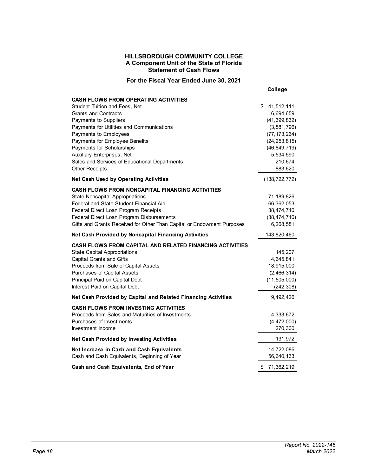### **HILLSBOROUGH COMMUNITY COLLEGE A Component Unit of the State of Florida Statement of Cash Flows**

**For the Fiscal Year Ended June 30, 2021** 

<span id="page-22-0"></span>

|                                                                        | College          |
|------------------------------------------------------------------------|------------------|
| <b>CASH FLOWS FROM OPERATING ACTIVITIES</b>                            |                  |
| Student Tuition and Fees, Net                                          | \$41,512,111     |
| <b>Grants and Contracts</b>                                            | 6,694,659        |
| Payments to Suppliers                                                  | (41, 399, 832)   |
| Payments for Utilities and Communications                              | (3,881,796)      |
| Payments to Employees                                                  | (77, 173, 264)   |
| Payments for Employee Benefits                                         | (24, 253, 815)   |
| Payments for Scholarships                                              | (46, 849, 719)   |
| Auxiliary Enterprises, Net                                             | 5,534,590        |
| Sales and Services of Educational Departments                          | 210,674          |
| <b>Other Receipts</b>                                                  | 883,620          |
| <b>Net Cash Used by Operating Activities</b>                           | (138, 722, 772)  |
| CASH FLOWS FROM NONCAPITAL FINANCING ACTIVITIES                        |                  |
| <b>State Noncapital Appropriations</b>                                 | 71,189,826       |
| Federal and State Student Financial Aid                                | 66,362,053       |
| Federal Direct Loan Program Receipts                                   | 38,474,710       |
| Federal Direct Loan Program Disbursements                              | (38, 474, 710)   |
| Gifts and Grants Received for Other Than Capital or Endowment Purposes | 6,268,581        |
| <b>Net Cash Provided by Noncapital Financing Activities</b>            | 143,820,460      |
| <b>CASH FLOWS FROM CAPITAL AND RELATED FINANCING ACTIVITIES</b>        |                  |
| <b>State Capital Appropriations</b>                                    | 145,207          |
| <b>Capital Grants and Gifts</b>                                        | 4,645,841        |
| Proceeds from Sale of Capital Assets                                   | 18,915,000       |
| <b>Purchases of Capital Assets</b>                                     | (2,466,314)      |
| Principal Paid on Capital Debt                                         | (11, 505, 000)   |
| Interest Paid on Capital Debt                                          | (242, 308)       |
| Net Cash Provided by Capital and Related Financing Activities          | 9,492,426        |
| <b>CASH FLOWS FROM INVESTING ACTIVITIES</b>                            |                  |
| Proceeds from Sales and Maturities of Investments                      | 4,333,672        |
| Purchases of Investments                                               | (4, 472, 000)    |
| Investment Income                                                      | 270,300          |
| Net Cash Provided by Investing Activities                              | 131,972          |
| Net Increase in Cash and Cash Equivalents                              | 14,722,086       |
| Cash and Cash Equivalents, Beginning of Year                           | 56,640,133       |
| Cash and Cash Equivalents, End of Year                                 | 71,362,219<br>\$ |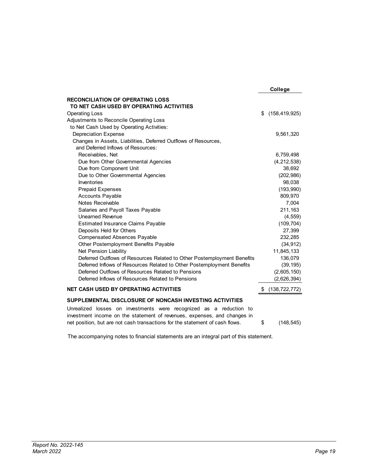|                                                                                                       | College               |
|-------------------------------------------------------------------------------------------------------|-----------------------|
| <b>RECONCILIATION OF OPERATING LOSS</b>                                                               |                       |
| TO NET CASH USED BY OPERATING ACTIVITIES                                                              |                       |
| <b>Operating Loss</b>                                                                                 | \$<br>(158, 419, 925) |
| Adjustments to Reconcile Operating Loss                                                               |                       |
| to Net Cash Used by Operating Activities:                                                             |                       |
| <b>Depreciation Expense</b>                                                                           | 9,561,320             |
| Changes in Assets, Liabilities, Deferred Outflows of Resources,<br>and Deferred Inflows of Resources: |                       |
| Receivables, Net                                                                                      | 6,759,498             |
| Due from Other Governmental Agencies                                                                  | (4, 212, 538)         |
| Due from Component Unit                                                                               | 38,692                |
| Due to Other Governmental Agencies                                                                    | (202, 986)            |
| Inventories                                                                                           | 98,038                |
| <b>Prepaid Expenses</b>                                                                               | (193,990)             |
| <b>Accounts Payable</b>                                                                               | 809,970               |
| Notes Receivable                                                                                      | 7,004                 |
| Salaries and Payoll Taxes Payable                                                                     | 211,163               |
| Unearned Revenue                                                                                      | (4, 559)              |
| <b>Estimated Insurance Claims Payable</b>                                                             | (109, 704)            |
| Deposits Held for Others                                                                              | 27,399                |
| <b>Compensated Absences Payable</b>                                                                   | 232,285               |
| Other Postemployment Benefits Payable                                                                 | (34, 912)             |
| Net Pension Liability                                                                                 | 11,845,133            |
| Deferred Outflows of Resources Related to Other Postemployment Benefits                               | 136,079               |
| Deferred Inflows of Resources Related to Other Postemployment Benefits                                | (39, 195)             |
| Deferred Outflows of Resources Related to Pensions                                                    | (2,605,150)           |
| Deferred Inflows of Resources Related to Pensions                                                     | (2,626,394)           |
| <b>NET CASH USED BY OPERATING ACTIVITIES</b>                                                          | \$<br>(138, 722, 772) |
| SUPPLEMENTAL DISCLOSURE OF NONCASH INVESTING ACTIVITIES                                               |                       |

\$ (148,545) Unrealized losses on investments were recognized as a reduction to investment income on the statement of revenues, expenses, and changes in net position, but are not cash transactions for the statement of cash flows.

The accompanying notes to financial statements are an integral part of this statement.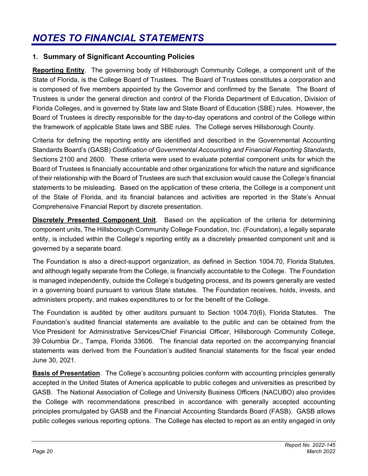# <span id="page-24-0"></span>*NOTES TO FINANCIAL STATEMENTS*

# **1. Summary of Significant Accounting Policies**

**Reporting Entity**. The governing body of Hillsborough Community College, a component unit of the State of Florida, is the College Board of Trustees. The Board of Trustees constitutes a corporation and is composed of five members appointed by the Governor and confirmed by the Senate. The Board of Trustees is under the general direction and control of the Florida Department of Education, Division of Florida Colleges, and is governed by State law and State Board of Education (SBE) rules. However, the Board of Trustees is directly responsible for the day-to-day operations and control of the College within the framework of applicable State laws and SBE rules. The College serves Hillsborough County.

Criteria for defining the reporting entity are identified and described in the Governmental Accounting Standards Board's (GASB) *Codification of Governmental Accounting and Financial Reporting Standards*, Sections 2100 and 2600. These criteria were used to evaluate potential component units for which the Board of Trustees is financially accountable and other organizations for which the nature and significance of their relationship with the Board of Trustees are such that exclusion would cause the College's financial statements to be misleading. Based on the application of these criteria, the College is a component unit of the State of Florida, and its financial balances and activities are reported in the State's Annual Comprehensive Financial Report by discrete presentation.

**Discretely Presented Component Unit**. Based on the application of the criteria for determining component units, The Hillsborough Community College Foundation, Inc. (Foundation), a legally separate entity, is included within the College's reporting entity as a discretely presented component unit and is governed by a separate board.

The Foundation is also a direct-support organization, as defined in Section 1004.70, Florida Statutes, and although legally separate from the College, is financially accountable to the College. The Foundation is managed independently, outside the College's budgeting process, and its powers generally are vested in a governing board pursuant to various State statutes. The Foundation receives, holds, invests, and administers property, and makes expenditures to or for the benefit of the College.

The Foundation is audited by other auditors pursuant to Section 1004.70(6), Florida Statutes. The Foundation's audited financial statements are available to the public and can be obtained from the Vice President for Administrative Services/Chief Financial Officer, Hillsborough Community College, 39 Columbia Dr., Tampa, Florida 33606. The financial data reported on the accompanying financial statements was derived from the Foundation's audited financial statements for the fiscal year ended June 30, 2021.

**Basis of Presentation**. The College's accounting policies conform with accounting principles generally accepted in the United States of America applicable to public colleges and universities as prescribed by GASB. The National Association of College and University Business Officers (NACUBO) also provides the College with recommendations prescribed in accordance with generally accepted accounting principles promulgated by GASB and the Financial Accounting Standards Board (FASB). GASB allows public colleges various reporting options. The College has elected to report as an entity engaged in only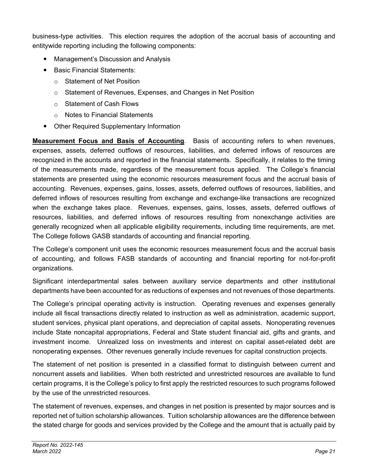business-type activities. This election requires the adoption of the accrual basis of accounting and entitywide reporting including the following components:

- Management's Discussion and Analysis
- Basic Financial Statements:
	- o Statement of Net Position
	- o Statement of Revenues, Expenses, and Changes in Net Position
	- o Statement of Cash Flows
	- o Notes to Financial Statements
- Other Required Supplementary Information

**Measurement Focus and Basis of Accounting**. Basis of accounting refers to when revenues, expenses, assets, deferred outflows of resources, liabilities, and deferred inflows of resources are recognized in the accounts and reported in the financial statements. Specifically, it relates to the timing of the measurements made, regardless of the measurement focus applied. The College's financial statements are presented using the economic resources measurement focus and the accrual basis of accounting. Revenues, expenses, gains, losses, assets, deferred outflows of resources, liabilities, and deferred inflows of resources resulting from exchange and exchange-like transactions are recognized when the exchange takes place. Revenues, expenses, gains, losses, assets, deferred outflows of resources, liabilities, and deferred inflows of resources resulting from nonexchange activities are generally recognized when all applicable eligibility requirements, including time requirements, are met. The College follows GASB standards of accounting and financial reporting.

The College's component unit uses the economic resources measurement focus and the accrual basis of accounting, and follows FASB standards of accounting and financial reporting for not-for-profit organizations.

Significant interdepartmental sales between auxiliary service departments and other institutional departments have been accounted for as reductions of expenses and not revenues of those departments.

The College's principal operating activity is instruction. Operating revenues and expenses generally include all fiscal transactions directly related to instruction as well as administration, academic support, student services, physical plant operations, and depreciation of capital assets. Nonoperating revenues include State noncapital appropriations, Federal and State student financial aid, gifts and grants, and investment income. Unrealized loss on investments and interest on capital asset-related debt are nonoperating expenses. Other revenues generally include revenues for capital construction projects.

The statement of net position is presented in a classified format to distinguish between current and noncurrent assets and liabilities. When both restricted and unrestricted resources are available to fund certain programs, it is the College's policy to first apply the restricted resources to such programs followed by the use of the unrestricted resources.

The statement of revenues, expenses, and changes in net position is presented by major sources and is reported net of tuition scholarship allowances. Tuition scholarship allowances are the difference between the stated charge for goods and services provided by the College and the amount that is actually paid by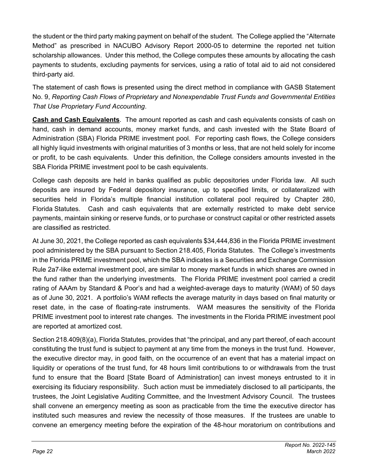the student or the third party making payment on behalf of the student. The College applied the "Alternate Method" as prescribed in NACUBO Advisory Report 2000-05 to determine the reported net tuition scholarship allowances. Under this method, the College computes these amounts by allocating the cash payments to students, excluding payments for services, using a ratio of total aid to aid not considered third-party aid.

The statement of cash flows is presented using the direct method in compliance with GASB Statement No. 9, *Reporting Cash Flows of Proprietary and Nonexpendable Trust Funds and Governmental Entities That Use Proprietary Fund Accounting*.

**Cash and Cash Equivalents**. The amount reported as cash and cash equivalents consists of cash on hand, cash in demand accounts, money market funds, and cash invested with the State Board of Administration (SBA) Florida PRIME investment pool. For reporting cash flows, the College considers all highly liquid investments with original maturities of 3 months or less, that are not held solely for income or profit, to be cash equivalents. Under this definition, the College considers amounts invested in the SBA Florida PRIME investment pool to be cash equivalents.

College cash deposits are held in banks qualified as public depositories under Florida law. All such deposits are insured by Federal depository insurance, up to specified limits, or collateralized with securities held in Florida's multiple financial institution collateral pool required by Chapter 280, Florida Statutes. Cash and cash equivalents that are externally restricted to make debt service payments, maintain sinking or reserve funds, or to purchase or construct capital or other restricted assets are classified as restricted.

At June 30, 2021, the College reported as cash equivalents \$34,444,836 in the Florida PRIME investment pool administered by the SBA pursuant to Section 218.405, Florida Statutes. The College's investments in the Florida PRIME investment pool, which the SBA indicates is a Securities and Exchange Commission Rule 2a7-like external investment pool, are similar to money market funds in which shares are owned in the fund rather than the underlying investments. The Florida PRIME investment pool carried a credit rating of AAAm by Standard & Poor's and had a weighted-average days to maturity (WAM) of 50 days as of June 30, 2021. A portfolio's WAM reflects the average maturity in days based on final maturity or reset date, in the case of floating-rate instruments. WAM measures the sensitivity of the Florida PRIME investment pool to interest rate changes. The investments in the Florida PRIME investment pool are reported at amortized cost.

Section 218.409(8)(a), Florida Statutes, provides that "the principal, and any part thereof, of each account constituting the trust fund is subject to payment at any time from the moneys in the trust fund. However, the executive director may, in good faith, on the occurrence of an event that has a material impact on liquidity or operations of the trust fund, for 48 hours limit contributions to or withdrawals from the trust fund to ensure that the Board [State Board of Administration] can invest moneys entrusted to it in exercising its fiduciary responsibility. Such action must be immediately disclosed to all participants, the trustees, the Joint Legislative Auditing Committee, and the Investment Advisory Council. The trustees shall convene an emergency meeting as soon as practicable from the time the executive director has instituted such measures and review the necessity of those measures. If the trustees are unable to convene an emergency meeting before the expiration of the 48-hour moratorium on contributions and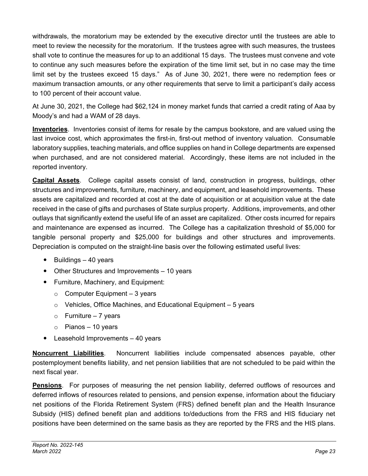withdrawals, the moratorium may be extended by the executive director until the trustees are able to meet to review the necessity for the moratorium. If the trustees agree with such measures, the trustees shall vote to continue the measures for up to an additional 15 days. The trustees must convene and vote to continue any such measures before the expiration of the time limit set, but in no case may the time limit set by the trustees exceed 15 days." As of June 30, 2021, there were no redemption fees or maximum transaction amounts, or any other requirements that serve to limit a participant's daily access to 100 percent of their account value.

At June 30, 2021, the College had \$62,124 in money market funds that carried a credit rating of Aaa by Moody's and had a WAM of 28 days.

**Inventories**. Inventories consist of items for resale by the campus bookstore, and are valued using the last invoice cost, which approximates the first-in, first-out method of inventory valuation. Consumable laboratory supplies, teaching materials, and office supplies on hand in College departments are expensed when purchased, and are not considered material. Accordingly, these items are not included in the reported inventory.

**Capital Assets**. College capital assets consist of land, construction in progress, buildings, other structures and improvements, furniture, machinery, and equipment, and leasehold improvements. These assets are capitalized and recorded at cost at the date of acquisition or at acquisition value at the date received in the case of gifts and purchases of State surplus property. Additions, improvements, and other outlays that significantly extend the useful life of an asset are capitalized. Other costs incurred for repairs and maintenance are expensed as incurred. The College has a capitalization threshold of \$5,000 for tangible personal property and \$25,000 for buildings and other structures and improvements. Depreciation is computed on the straight-line basis over the following estimated useful lives:

- $\bullet$  Buildings 40 years
- Other Structures and Improvements 10 years
- Furniture, Machinery, and Equipment:
	- $\circ$  Computer Equipment 3 years
	- o Vehicles, Office Machines, and Educational Equipment 5 years
	- $\circ$  Furniture 7 years
	- $\circ$  Pianos 10 years
- Leasehold Improvements 40 years

**Noncurrent Liabilities**. Noncurrent liabilities include compensated absences payable, other postemployment benefits liability, and net pension liabilities that are not scheduled to be paid within the next fiscal year.

**Pensions**. For purposes of measuring the net pension liability, deferred outflows of resources and deferred inflows of resources related to pensions, and pension expense, information about the fiduciary net positions of the Florida Retirement System (FRS) defined benefit plan and the Health Insurance Subsidy (HIS) defined benefit plan and additions to/deductions from the FRS and HIS fiduciary net positions have been determined on the same basis as they are reported by the FRS and the HIS plans.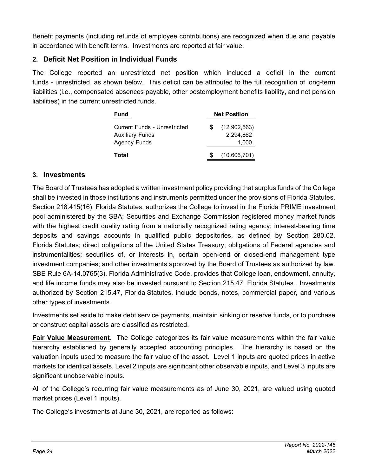Benefit payments (including refunds of employee contributions) are recognized when due and payable in accordance with benefit terms. Investments are reported at fair value.

# **2. Deficit Net Position in Individual Funds**

The College reported an unrestricted net position which included a deficit in the current funds - unrestricted, as shown below. This deficit can be attributed to the full recognition of long-term liabilities (i.e., compensated absences payable, other postemployment benefits liability, and net pension liabilities) in the current unrestricted funds.

| Fund                                                                                 | <b>Net Position</b> |                                      |  |
|--------------------------------------------------------------------------------------|---------------------|--------------------------------------|--|
| <b>Current Funds - Unrestricted</b><br><b>Auxiliary Funds</b><br><b>Agency Funds</b> |                     | (12, 902, 563)<br>2,294,862<br>1,000 |  |
| Total                                                                                |                     | (10,606,701)                         |  |

# **3. Investments**

The Board of Trustees has adopted a written investment policy providing that surplus funds of the College shall be invested in those institutions and instruments permitted under the provisions of Florida Statutes. Section 218.415(16), Florida Statutes, authorizes the College to invest in the Florida PRIME investment pool administered by the SBA; Securities and Exchange Commission registered money market funds with the highest credit quality rating from a nationally recognized rating agency; interest-bearing time deposits and savings accounts in qualified public depositories, as defined by Section 280.02, Florida Statutes; direct obligations of the United States Treasury; obligations of Federal agencies and instrumentalities; securities of, or interests in, certain open-end or closed-end management type investment companies; and other investments approved by the Board of Trustees as authorized by law. SBE Rule 6A-14.0765(3), Florida Administrative Code, provides that College loan, endowment, annuity, and life income funds may also be invested pursuant to Section 215.47, Florida Statutes. Investments authorized by Section 215.47, Florida Statutes, include bonds, notes, commercial paper, and various other types of investments.

Investments set aside to make debt service payments, maintain sinking or reserve funds, or to purchase or construct capital assets are classified as restricted.

**Fair Value Measurement**. The College categorizes its fair value measurements within the fair value hierarchy established by generally accepted accounting principles. The hierarchy is based on the valuation inputs used to measure the fair value of the asset. Level 1 inputs are quoted prices in active markets for identical assets, Level 2 inputs are significant other observable inputs, and Level 3 inputs are significant unobservable inputs.

All of the College's recurring fair value measurements as of June 30, 2021, are valued using quoted market prices (Level 1 inputs).

The College's investments at June 30, 2021, are reported as follows: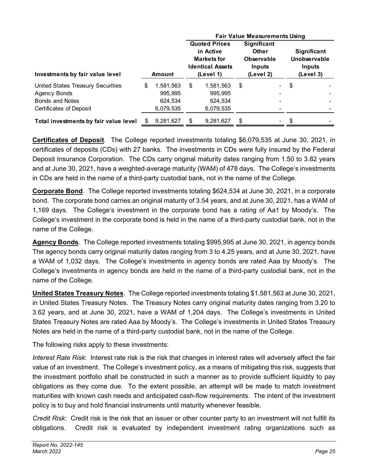|                                                                                                        |     |                                              | <b>Fair Value Measurements Using</b>                                                                                                                                       |                                              |                                                    |    |    |  |
|--------------------------------------------------------------------------------------------------------|-----|----------------------------------------------|----------------------------------------------------------------------------------------------------------------------------------------------------------------------------|----------------------------------------------|----------------------------------------------------|----|----|--|
| Investments by fair value level                                                                        |     | <b>Amount</b>                                | <b>Quoted Prices</b><br>Significant<br>in Active<br><b>Other</b><br><b>Observable</b><br><b>Markets for</b><br><b>Identical Assets</b><br>Inputs<br>(Level 2)<br>(Level 1) |                                              | Significant<br>Unobservable<br>Inputs<br>(Level 3) |    |    |  |
| United States Treasury Securities<br>Agency Bonds<br><b>Bonds and Notes</b><br>Certificates of Deposit | \$. | 1.581.563<br>995,995<br>624,534<br>6,079,535 | S                                                                                                                                                                          | 1,581,563<br>995,995<br>624,534<br>6,079,535 | S                                                  | ۰. | \$ |  |
| Total investments by fair value level                                                                  |     | 9,281,627                                    |                                                                                                                                                                            | 9,281,627                                    | \$                                                 |    | \$ |  |

**Certificates of Deposit**. The College reported investments totaling \$6,079,535 at June 30, 2021, in certificates of deposits (CDs) with 27 banks. The investments in CDs were fully insured by the Federal Deposit Insurance Corporation. The CDs carry original maturity dates ranging from 1.50 to 3.82 years and at June 30, 2021, have a weighted-average maturity (WAM) of 478 days. The College's investments in CDs are held in the name of a third-party custodial bank, not in the name of the College.

**Corporate Bond**. The College reported investments totaling \$624,534 at June 30, 2021, in a corporate bond. The corporate bond carries an original maturity of 3.54 years, and at June 30, 2021, has a WAM of 1,169 days. The College's investment in the corporate bond has a rating of Aa1 by Moody's. The College's investment in the corporate bond is held in the name of a third-party custodial bank, not in the name of the College.

**Agency Bonds**. The College reported investments totaling \$995,995 at June 30, 2021, in agency bonds The agency bonds carry original maturity dates ranging from 3 to 4.25 years, and at June 30, 2021, have a WAM of 1,032 days. The College's investments in agency bonds are rated Aaa by Moody's. The College's investments in agency bonds are held in the name of a third-party custodial bank, not in the name of the College.

**United States Treasury Notes**. The College reported investments totaling \$1,581,563 at June 30, 2021, in United States Treasury Notes. The Treasury Notes carry original maturity dates ranging from 3.20 to 3.62 years, and at June 30, 2021, have a WAM of 1,204 days. The College's investments in United States Treasury Notes are rated Aaa by Moody's. The College's investments in United States Treasury Notes are held in the name of a third-party custodial bank, not in the name of the College.

The following risks apply to these investments:

*Interest Rate Risk*: Interest rate risk is the risk that changes in interest rates will adversely affect the fair value of an investment. The College's investment policy, as a means of mitigating this risk, suggests that the investment portfolio shall be constructed in such a manner as to provide sufficient liquidity to pay obligations as they come due. To the extent possible, an attempt will be made to match investment maturities with known cash needs and anticipated cash-flow requirements. The intent of the investment policy is to buy and hold financial instruments until maturity whenever feasible.

*Credit Risk*: Credit risk is the risk that an issuer or other counter party to an investment will not fulfill its obligations. Credit risk is evaluated by independent investment rating organizations such as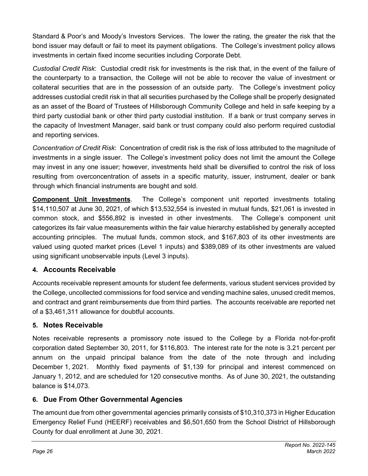Standard & Poor's and Moody's Investors Services. The lower the rating, the greater the risk that the bond issuer may default or fail to meet its payment obligations. The College's investment policy allows investments in certain fixed income securities including Corporate Debt.

*Custodial Credit Risk*: Custodial credit risk for investments is the risk that, in the event of the failure of the counterparty to a transaction, the College will not be able to recover the value of investment or collateral securities that are in the possession of an outside party. The College's investment policy addresses custodial credit risk in that all securities purchased by the College shall be properly designated as an asset of the Board of Trustees of Hillsborough Community College and held in safe keeping by a third party custodial bank or other third party custodial institution. If a bank or trust company serves in the capacity of Investment Manager, said bank or trust company could also perform required custodial and reporting services.

*Concentration of Credit Risk*: Concentration of credit risk is the risk of loss attributed to the magnitude of investments in a single issuer. The College's investment policy does not limit the amount the College may invest in any one issuer; however, investments held shall be diversified to control the risk of loss resulting from overconcentration of assets in a specific maturity, issuer, instrument, dealer or bank through which financial instruments are bought and sold.

**Component Unit Investments**. The College's component unit reported investments totaling \$14,110,507 at June 30, 2021, of which \$13,532,554 is invested in mutual funds, \$21,061 is invested in common stock, and \$556,892 is invested in other investments. The College's component unit categorizes its fair value measurements within the fair value hierarchy established by generally accepted accounting principles. The mutual funds, common stock, and \$167,803 of its other investments are valued using quoted market prices (Level 1 inputs) and \$389,089 of its other investments are valued using significant unobservable inputs (Level 3 inputs).

# **4. Accounts Receivable**

Accounts receivable represent amounts for student fee deferments, various student services provided by the College, uncollected commissions for food service and vending machine sales, unused credit memos, and contract and grant reimbursements due from third parties. The accounts receivable are reported net of a \$3,461,311 allowance for doubtful accounts.

# **5. Notes Receivable**

Notes receivable represents a promissory note issued to the College by a Florida not-for-profit corporation dated September 30, 2011, for \$116,803. The interest rate for the note is 3.21 percent per annum on the unpaid principal balance from the date of the note through and including December 1, 2021. Monthly fixed payments of \$1,139 for principal and interest commenced on January 1, 2012, and are scheduled for 120 consecutive months. As of June 30, 2021, the outstanding balance is \$14,073.

# **6. Due From Other Governmental Agencies**

The amount due from other governmental agencies primarily consists of \$10,310,373 in Higher Education Emergency Relief Fund (HEERF) receivables and \$6,501,650 from the School District of Hillsborough County for dual enrollment at June 30, 2021.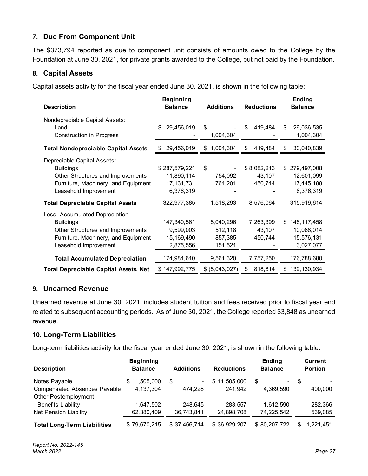# **7. Due From Component Unit**

The \$373,794 reported as due to component unit consists of amounts owed to the College by the Foundation at June 30, 2021, for private grants awarded to the College, but not paid by the Foundation.

# **8. Capital Assets**

Capital assets activity for the fiscal year ended June 30, 2021, is shown in the following table:

| <b>Description</b>                                                                                                                                                                                | <b>Beginning</b><br><b>Balance</b>                                   | <b>Additions</b>                                        | <b>Reductions</b>                           | <b>Ending</b><br><b>Balance</b>                                             |
|---------------------------------------------------------------------------------------------------------------------------------------------------------------------------------------------------|----------------------------------------------------------------------|---------------------------------------------------------|---------------------------------------------|-----------------------------------------------------------------------------|
| Nondepreciable Capital Assets:<br>Land<br><b>Construction in Progress</b>                                                                                                                         | 29,456,019<br>\$                                                     | \$<br>1,004,304                                         | 419,484<br>\$                               | 29,036,535<br>\$<br>1,004,304                                               |
| <b>Total Nondepreciable Capital Assets</b>                                                                                                                                                        | 29,456,019<br>\$                                                     | 1,004,304<br>\$                                         | 419,484<br>\$                               | 30,040,839<br>\$                                                            |
| Depreciable Capital Assets:<br><b>Buildings</b><br>Other Structures and Improvements<br>Furniture, Machinery, and Equipment<br>Leasehold Improvement                                              | \$287,579,221<br>11,890,114<br>17, 131, 731<br>6,376,319             | \$<br>754,092<br>764,201                                | \$8,082,213<br>43,107<br>450,744            | 279,497,008<br>\$<br>12,601,099<br>17,445,188<br>6,376,319                  |
| <b>Total Depreciable Capital Assets</b>                                                                                                                                                           | 322,977,385                                                          | 1,518,293                                               | 8,576,064                                   | 315,919,614                                                                 |
| Less, Accumulated Depreciation:<br><b>Buildings</b><br>Other Structures and Improvements<br>Furniture, Machinery, and Equipment<br>Leasehold Improvement<br><b>Total Accumulated Depreciation</b> | 147,340,561<br>9,599,003<br>15, 169, 490<br>2,875,556<br>174,984,610 | 8,040,296<br>512,118<br>857,385<br>151,521<br>9,561,320 | 7,263,399<br>43,107<br>450,744<br>7,757,250 | 148, 117, 458<br>\$<br>10,068,014<br>15,576,131<br>3,027,077<br>176,788,680 |
| <b>Total Depreciable Capital Assets, Net</b>                                                                                                                                                      | \$147,992,775                                                        | \$ (8,043,027)                                          | \$<br>818,814                               | 139, 130, 934<br>\$                                                         |

# **9. Unearned Revenue**

Unearned revenue at June 30, 2021, includes student tuition and fees received prior to fiscal year end related to subsequent accounting periods. As of June 30, 2021, the College reported \$3,848 as unearned revenue.

# **10. Long-Term Liabilities**

Long-term liabilities activity for the fiscal year ended June 30, 2021, is shown in the following table:

| <b>Description</b>                                   | <b>Beginning</b><br><b>Balance</b> | <b>Additions</b> | <b>Reductions</b>          | Ending<br><b>Balance</b> | <b>Current</b><br><b>Portion</b> |
|------------------------------------------------------|------------------------------------|------------------|----------------------------|--------------------------|----------------------------------|
| Notes Payable<br><b>Compensated Absences Payable</b> | 11,505,000<br>\$.<br>4,137,304     | \$<br>474.228    | 11,505,000<br>S<br>241.942 | \$<br>٠<br>4.369.590     | -S<br>400,000                    |
| Other Postemployment<br><b>Benefits Liability</b>    | 1,647,502                          | 248.645          | 283.557                    | 1.612.590                | 282,366                          |
| Net Pension Liability                                | 62,380,409                         | 36,743,841       | 24,898,708                 | 74,225,542               | 539,085                          |
| <b>Total Long-Term Liabilities</b>                   | \$79,670,215                       | \$37,466,714     | \$36,929,207               | \$80,207,722             | 1,221,451<br>S                   |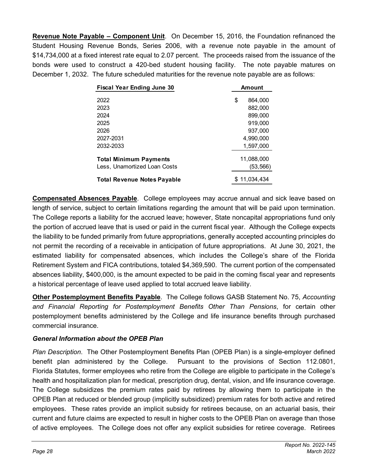**Revenue Note Payable – Component Unit**. On December 15, 2016, the Foundation refinanced the Student Housing Revenue Bonds, Series 2006, with a revenue note payable in the amount of \$14,734,000 at a fixed interest rate equal to 2.07 percent. The proceeds raised from the issuance of the bonds were used to construct a 420-bed student housing facility. The note payable matures on December 1, 2032. The future scheduled maturities for the revenue note payable are as follows:

| <b>Fiscal Year Ending June 30</b>  | <b>Amount</b> |              |
|------------------------------------|---------------|--------------|
| 2022                               | \$            | 864,000      |
| 2023                               |               | 882,000      |
| 2024                               |               | 899,000      |
| 2025                               |               | 919,000      |
| 2026                               |               | 937,000      |
| 2027-2031                          |               | 4.990.000    |
| 2032-2033                          |               | 1,597,000    |
| <b>Total Minimum Payments</b>      |               | 11.088.000   |
| Less, Unamortized Loan Costs       |               | (53,566)     |
| <b>Total Revenue Notes Payable</b> |               | \$11.034.434 |

**Compensated Absences Payable**. College employees may accrue annual and sick leave based on length of service, subject to certain limitations regarding the amount that will be paid upon termination. The College reports a liability for the accrued leave; however, State noncapital appropriations fund only the portion of accrued leave that is used or paid in the current fiscal year. Although the College expects the liability to be funded primarily from future appropriations, generally accepted accounting principles do not permit the recording of a receivable in anticipation of future appropriations. At June 30, 2021, the estimated liability for compensated absences, which includes the College's share of the Florida Retirement System and FICA contributions, totaled \$4,369,590. The current portion of the compensated absences liability, \$400,000, is the amount expected to be paid in the coming fiscal year and represents a historical percentage of leave used applied to total accrued leave liability.

**Other Postemployment Benefits Payable**. The College follows GASB Statement No. 75, *Accounting and Financial Reporting for Postemployment Benefits Other Than Pensions*, for certain other postemployment benefits administered by the College and life insurance benefits through purchased commercial insurance.

# *General Information about the OPEB Plan*

*Plan Description*. The Other Postemployment Benefits Plan (OPEB Plan) is a single-employer defined benefit plan administered by the College. Pursuant to the provisions of Section 112.0801, Florida Statutes, former employees who retire from the College are eligible to participate in the College's health and hospitalization plan for medical, prescription drug, dental, vision, and life insurance coverage. The College subsidizes the premium rates paid by retirees by allowing them to participate in the OPEB Plan at reduced or blended group (implicitly subsidized) premium rates for both active and retired employees. These rates provide an implicit subsidy for retirees because, on an actuarial basis, their current and future claims are expected to result in higher costs to the OPEB Plan on average than those of active employees. The College does not offer any explicit subsidies for retiree coverage. Retirees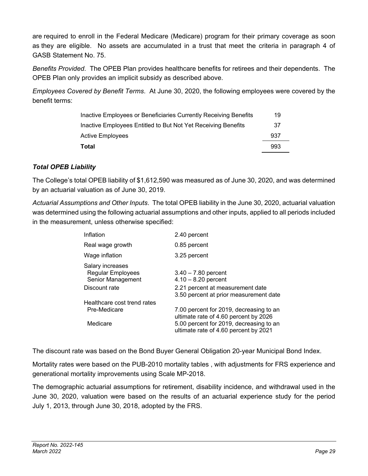are required to enroll in the Federal Medicare (Medicare) program for their primary coverage as soon as they are eligible. No assets are accumulated in a trust that meet the criteria in paragraph 4 of GASB Statement No. 75.

*Benefits Provided*. The OPEB Plan provides healthcare benefits for retirees and their dependents. The OPEB Plan only provides an implicit subsidy as described above.

*Employees Covered by Benefit Terms*. At June 30, 2020, the following employees were covered by the benefit terms:

| Inactive Employees or Beneficiaries Currently Receiving Benefits | 19  |
|------------------------------------------------------------------|-----|
| Inactive Employees Entitled to But Not Yet Receiving Benefits    | -37 |
| <b>Active Employees</b>                                          | 937 |
| Total                                                            | 993 |

# *Total OPEB Liability*

The College's total OPEB liability of \$1,612,590 was measured as of June 30, 2020, and was determined by an actuarial valuation as of June 30, 2019.

*Actuarial Assumptions and Other Inputs*. The total OPEB liability in the June 30, 2020, actuarial valuation was determined using the following actuarial assumptions and other inputs, applied to all periods included in the measurement, unless otherwise specified:

| Inflation                                                                          | 2.40 percent                                                                                                                 |
|------------------------------------------------------------------------------------|------------------------------------------------------------------------------------------------------------------------------|
| Real wage growth                                                                   | 0.85 percent                                                                                                                 |
| Wage inflation                                                                     | 3.25 percent                                                                                                                 |
| Salary increases<br><b>Regular Employees</b><br>Senior Management<br>Discount rate | $3.40 - 7.80$ percent<br>$4.10 - 8.20$ percent<br>2.21 percent at measurement date<br>3.50 percent at prior measurement date |
| Healthcare cost trend rates                                                        |                                                                                                                              |
| Pre-Medicare                                                                       | 7.00 percent for 2019, decreasing to an<br>ultimate rate of 4.60 percent by 2026                                             |
| Medicare                                                                           | 5.00 percent for 2019, decreasing to an<br>ultimate rate of 4.60 percent by 2021                                             |

The discount rate was based on the Bond Buyer General Obligation 20-year Municipal Bond Index.

Mortality rates were based on the PUB-2010 mortality tables , with adjustments for FRS experience and generational mortality improvements using Scale MP-2018.

The demographic actuarial assumptions for retirement, disability incidence, and withdrawal used in the June 30, 2020, valuation were based on the results of an actuarial experience study for the period July 1, 2013, through June 30, 2018, adopted by the FRS.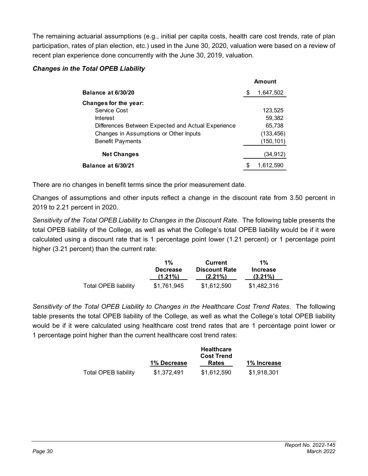The remaining actuarial assumptions (e.g., initial per capita costs, health care cost trends, rate of plan participation, rates of plan election, etc.) used in the June 30, 2020, valuation were based on a review of recent plan experience done concurrently with the June 30, 2019, valuation.

# *Changes in the Total OPEB Liability*

|                                                    | Amount          |
|----------------------------------------------------|-----------------|
| Balance at 6/30/20                                 | \$<br>1,647,502 |
| Changes for the year:                              |                 |
| Service Cost                                       | 123,525         |
| Interest                                           | 59,382          |
| Differences Between Expected and Actual Experience | 65,738          |
| Changes in Assumptions or Other Inputs             | (133, 456)      |
| Benefit Payments                                   | (150, 101)      |
| <b>Net Changes</b>                                 | (34,912)        |
| <b>Balance at 6/30/21</b>                          | \$<br>1,612,590 |

There are no changes in benefit terms since the prior measurement date.

Changes of assumptions and other inputs reflect a change in the discount rate from 3.50 percent in 2019 to 2.21 percent in 2020.

*Sensitivity of the Total OPEB Liability to Changes in the Discount Rate*. The following table presents the total OPEB liability of the College, as well as what the College's total OPEB liability would be if it were calculated using a discount rate that is 1 percentage point lower (1.21 percent) or 1 percentage point higher (3.21 percent) than the current rate:

|                             | 1%              | Current              | $1\%$           |
|-----------------------------|-----------------|----------------------|-----------------|
|                             | <b>Decrease</b> | <b>Discount Rate</b> | <b>Increase</b> |
|                             | $(1.21\%)$      | $(2.21\%)$           | $(3.21\%)$      |
| <b>Total OPEB liability</b> | \$1.761.945     | \$1,612,590          | \$1.482.316     |

*Sensitivity of the Total OPEB Liability to Changes in the Healthcare Cost Trend Rates*. The following table presents the total OPEB liability of the College, as well as what the College's total OPEB liability would be if it were calculated using healthcare cost trend rates that are 1 percentage point lower or 1 percentage point higher than the current healthcare cost trend rates:

|                      |             | <b>Healthcare</b><br><b>Cost Trend</b> |             |
|----------------------|-------------|----------------------------------------|-------------|
|                      | 1% Decrease | <b>Rates</b>                           | 1% Increase |
| Total OPEB liability | \$1.372.491 | \$1.612.590                            | \$1,918,301 |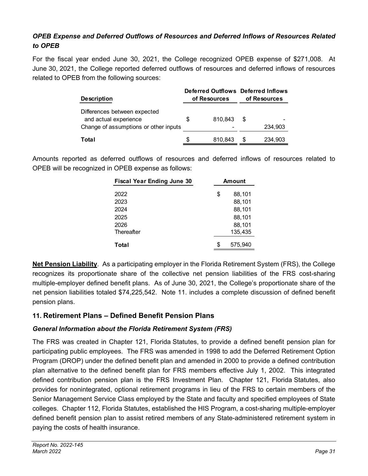# *OPEB Expense and Deferred Outflows of Resources and Deferred Inflows of Resources Related to OPEB*

For the fiscal year ended June 30, 2021, the College recognized OPEB expense of \$271,008. At June 30, 2021, the College reported deferred outflows of resources and deferred inflows of resources related to OPEB from the following sources:

| <b>Description</b>                                                                             |   | <b>Deferred Outflows Deferred Inflows</b><br>of Resources |   | of Resources |
|------------------------------------------------------------------------------------------------|---|-----------------------------------------------------------|---|--------------|
| Differences between expected<br>and actual experience<br>Change of assumptions or other inputs | S | 810.843                                                   | S | 234,903      |
| Total                                                                                          | S | 810,843                                                   | S | 234,903      |

Amounts reported as deferred outflows of resources and deferred inflows of resources related to OPEB will be recognized in OPEB expense as follows:

| <b>Fiscal Year Ending June 30</b> |        | Amount  |  |  |
|-----------------------------------|--------|---------|--|--|
| 2022                              | \$     | 88,101  |  |  |
| 2023                              |        | 88,101  |  |  |
| 2024                              | 88,101 |         |  |  |
| 2025                              | 88,101 |         |  |  |
| 2026                              | 88,101 |         |  |  |
| Thereafter                        |        | 135,435 |  |  |
| Total                             | S.     | 575,940 |  |  |

**Net Pension Liability**. As a participating employer in the Florida Retirement System (FRS), the College recognizes its proportionate share of the collective net pension liabilities of the FRS cost-sharing multiple-employer defined benefit plans. As of June 30, 2021, the College's proportionate share of the net pension liabilities totaled \$74,225,542. Note 11. includes a complete discussion of defined benefit pension plans.

# **11. Retirement Plans – Defined Benefit Pension Plans**

# *General Information about the Florida Retirement System (FRS)*

The FRS was created in Chapter 121, Florida Statutes, to provide a defined benefit pension plan for participating public employees. The FRS was amended in 1998 to add the Deferred Retirement Option Program (DROP) under the defined benefit plan and amended in 2000 to provide a defined contribution plan alternative to the defined benefit plan for FRS members effective July 1, 2002. This integrated defined contribution pension plan is the FRS Investment Plan. Chapter 121, Florida Statutes, also provides for nonintegrated, optional retirement programs in lieu of the FRS to certain members of the Senior Management Service Class employed by the State and faculty and specified employees of State colleges. Chapter 112, Florida Statutes, established the HIS Program, a cost-sharing multiple-employer defined benefit pension plan to assist retired members of any State-administered retirement system in paying the costs of health insurance.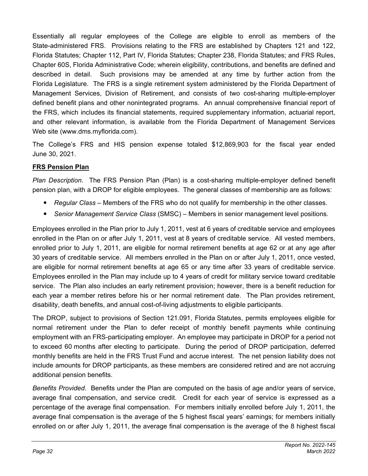Essentially all regular employees of the College are eligible to enroll as members of the State-administered FRS. Provisions relating to the FRS are established by Chapters 121 and 122, Florida Statutes; Chapter 112, Part IV, Florida Statutes; Chapter 238, Florida Statutes; and FRS Rules, Chapter 60S, Florida Administrative Code; wherein eligibility, contributions, and benefits are defined and described in detail. Such provisions may be amended at any time by further action from the Florida Legislature. The FRS is a single retirement system administered by the Florida Department of Management Services, Division of Retirement, and consists of two cost-sharing multiple-employer defined benefit plans and other nonintegrated programs. An annual comprehensive financial report of the FRS, which includes its financial statements, required supplementary information, actuarial report, and other relevant information, is available from the Florida Department of Management Services Web site (www.dms.myflorida.com).

The College's FRS and HIS pension expense totaled \$12,869,903 for the fiscal year ended June 30, 2021.

# **FRS Pension Plan**

*Plan Description*. The FRS Pension Plan (Plan) is a cost-sharing multiple-employer defined benefit pension plan, with a DROP for eligible employees. The general classes of membership are as follows:

- *Regular Class* Members of the FRS who do not qualify for membership in the other classes.
- *Senior Management Service Class* (SMSC) Members in senior management level positions.

Employees enrolled in the Plan prior to July 1, 2011, vest at 6 years of creditable service and employees enrolled in the Plan on or after July 1, 2011, vest at 8 years of creditable service. All vested members, enrolled prior to July 1, 2011, are eligible for normal retirement benefits at age 62 or at any age after 30 years of creditable service. All members enrolled in the Plan on or after July 1, 2011, once vested, are eligible for normal retirement benefits at age 65 or any time after 33 years of creditable service. Employees enrolled in the Plan may include up to 4 years of credit for military service toward creditable service. The Plan also includes an early retirement provision; however, there is a benefit reduction for each year a member retires before his or her normal retirement date. The Plan provides retirement, disability, death benefits, and annual cost-of-living adjustments to eligible participants.

The DROP, subject to provisions of Section 121.091, Florida Statutes, permits employees eligible for normal retirement under the Plan to defer receipt of monthly benefit payments while continuing employment with an FRS-participating employer. An employee may participate in DROP for a period not to exceed 60 months after electing to participate. During the period of DROP participation, deferred monthly benefits are held in the FRS Trust Fund and accrue interest. The net pension liability does not include amounts for DROP participants, as these members are considered retired and are not accruing additional pension benefits.

*Benefits Provided*. Benefits under the Plan are computed on the basis of age and/or years of service, average final compensation, and service credit. Credit for each year of service is expressed as a percentage of the average final compensation. For members initially enrolled before July 1, 2011, the average final compensation is the average of the 5 highest fiscal years' earnings; for members initially enrolled on or after July 1, 2011, the average final compensation is the average of the 8 highest fiscal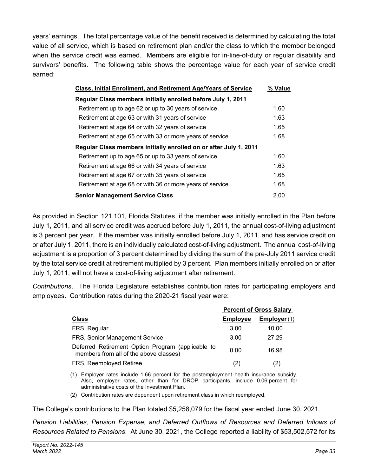years' earnings. The total percentage value of the benefit received is determined by calculating the total value of all service, which is based on retirement plan and/or the class to which the member belonged when the service credit was earned. Members are eligible for in-line-of-duty or regular disability and survivors' benefits. The following table shows the percentage value for each year of service credit earned:

| Class, Initial Enrollment, and Retirement Age/Years of Service    | % Value |
|-------------------------------------------------------------------|---------|
| Regular Class members initially enrolled before July 1, 2011      |         |
| Retirement up to age 62 or up to 30 years of service              | 1.60    |
| Retirement at age 63 or with 31 years of service                  | 1.63    |
| Retirement at age 64 or with 32 years of service                  | 1.65    |
| Retirement at age 65 or with 33 or more years of service          | 1.68    |
| Regular Class members initially enrolled on or after July 1, 2011 |         |
| Retirement up to age 65 or up to 33 years of service              | 1.60    |
| Retirement at age 66 or with 34 years of service                  | 1.63    |
| Retirement at age 67 or with 35 years of service                  | 1.65    |
| Retirement at age 68 or with 36 or more years of service          | 1.68    |
| <b>Senior Management Service Class</b>                            | 2.00    |

As provided in Section 121.101, Florida Statutes, if the member was initially enrolled in the Plan before July 1, 2011, and all service credit was accrued before July 1, 2011, the annual cost-of-living adjustment is 3 percent per year. If the member was initially enrolled before July 1, 2011, and has service credit on or after July 1, 2011, there is an individually calculated cost-of-living adjustment. The annual cost-of-living adjustment is a proportion of 3 percent determined by dividing the sum of the pre-July 2011 service credit by the total service credit at retirement multiplied by 3 percent. Plan members initially enrolled on or after July 1, 2011, will not have a cost-of-living adjustment after retirement.

*Contributions*. The Florida Legislature establishes contribution rates for participating employers and employees. Contribution rates during the 2020-21 fiscal year were:

|                                                                                             | <b>Percent of Gross Salary</b> |             |  |
|---------------------------------------------------------------------------------------------|--------------------------------|-------------|--|
| <b>Class</b>                                                                                | <b>Employee</b>                | Emplover(1) |  |
| FRS, Regular                                                                                | 3.00                           | 10.00       |  |
| FRS, Senior Management Service                                                              | 3.00                           | 27.29       |  |
| Deferred Retirement Option Program (applicable to<br>members from all of the above classes) | 0.00                           | 16.98       |  |
| FRS, Reemployed Retiree                                                                     |                                | (2)         |  |

(1) Employer rates include 1.66 percent for the postemployment health insurance subsidy. Also, employer rates, other than for DROP participants, include 0.06 percent for administrative costs of the Investment Plan.

(2) Contribution rates are dependent upon retirement class in which reemployed.

The College's contributions to the Plan totaled \$5,258,079 for the fiscal year ended June 30, 2021.

*Pension Liabilities, Pension Expense, and Deferred Outflows of Resources and Deferred Inflows of Resources Related to Pensions*. At June 30, 2021, the College reported a liability of \$53,502,572 for its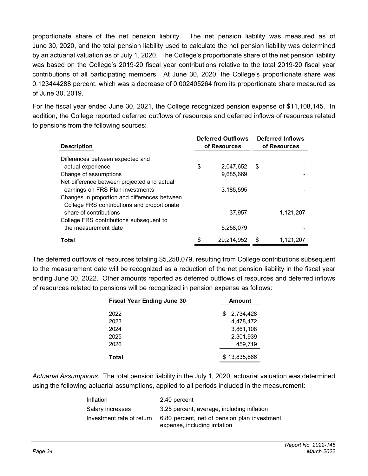proportionate share of the net pension liability. The net pension liability was measured as of June 30, 2020, and the total pension liability used to calculate the net pension liability was determined by an actuarial valuation as of July 1, 2020. The College's proportionate share of the net pension liability was based on the College's 2019-20 fiscal year contributions relative to the total 2019-20 fiscal year contributions of all participating members. At June 30, 2020, the College's proportionate share was 0.123444288 percent, which was a decrease of 0.002405264 from its proportionate share measured as of June 30, 2019.

For the fiscal year ended June 30, 2021, the College recognized pension expense of \$11,108,145. In addition, the College reported deferred outflows of resources and deferred inflows of resources related to pensions from the following sources:

| <b>Deferred Outflows</b><br><b>Description</b><br>of Resources |    | <b>Deferred Inflows</b><br>of Resources |   |           |
|----------------------------------------------------------------|----|-----------------------------------------|---|-----------|
| Differences between expected and                               |    |                                         |   |           |
| actual experience                                              | \$ | 2,047,652                               | S |           |
| Change of assumptions                                          |    | 9,685,669                               |   |           |
| Net difference between projected and actual                    |    |                                         |   |           |
| earnings on FRS Plan investments                               |    | 3,185,595                               |   |           |
| Changes in proportion and differences between                  |    |                                         |   |           |
| College FRS contributions and proportionate                    |    |                                         |   |           |
| share of contributions                                         |    | 37,957                                  |   | 1,121,207 |
| College FRS contributions subsequent to                        |    |                                         |   |           |
| the measurement date                                           |    | 5,258,079                               |   |           |
| Total                                                          | \$ | 20,214,952                              |   | 1,121,207 |

The deferred outflows of resources totaling \$5,258,079, resulting from College contributions subsequent to the measurement date will be recognized as a reduction of the net pension liability in the fiscal year ending June 30, 2022. Other amounts reported as deferred outflows of resources and deferred inflows of resources related to pensions will be recognized in pension expense as follows:

| <b>Fiscal Year Ending June 30</b> | <b>Amount</b>  |
|-----------------------------------|----------------|
| 2022                              | 2,734,428<br>S |
| 2023                              | 4,478,472      |
| 2024                              | 3,861,108      |
| 2025                              | 2,301,939      |
| 2026                              | 459,719        |
| Total                             | \$13,835,666   |

*Actuarial Assumptions*. The total pension liability in the July 1, 2020, actuarial valuation was determined using the following actuarial assumptions, applied to all periods included in the measurement:

| Inflation                 | 2.40 percent                                                                 |
|---------------------------|------------------------------------------------------------------------------|
| Salary increases          | 3.25 percent, average, including inflation                                   |
| Investment rate of return | 6.80 percent, net of pension plan investment<br>expense, including inflation |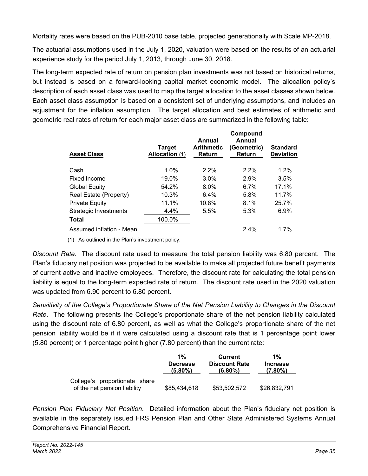Mortality rates were based on the PUB-2010 base table, projected generationally with Scale MP-2018.

The actuarial assumptions used in the July 1, 2020, valuation were based on the results of an actuarial experience study for the period July 1, 2013, through June 30, 2018.

The long-term expected rate of return on pension plan investments was not based on historical returns, but instead is based on a forward-looking capital market economic model. The allocation policy's description of each asset class was used to map the target allocation to the asset classes shown below. Each asset class assumption is based on a consistent set of underlying assumptions, and includes an adjustment for the inflation assumption. The target allocation and best estimates of arithmetic and geometric real rates of return for each major asset class are summarized in the following table:

| <b>Asset Class</b>           | <b>Target</b><br>Allocation (1) | Annual<br>Arithmetic<br>Return | Compound<br>Annual<br>(Geometric)<br>Return | <b>Standard</b><br><b>Deviation</b> |
|------------------------------|---------------------------------|--------------------------------|---------------------------------------------|-------------------------------------|
| Cash                         | 1.0%                            | $2.2\%$                        | $2.2\%$                                     | 1.2%                                |
| Fixed Income                 | 19.0%                           | 3.0%                           | 2.9%                                        | 3.5%                                |
| <b>Global Equity</b>         | 54.2%                           | $8.0\%$                        | 6.7%                                        | 17.1%                               |
| Real Estate (Property)       | 10.3%                           | 6.4%                           | 5.8%                                        | 11.7%                               |
| <b>Private Equity</b>        | 11.1%                           | 10.8%                          | 8.1%                                        | 25.7%                               |
| <b>Strategic Investments</b> | 4.4%                            | 5.5%                           | 5.3%                                        | 6.9%                                |
| <b>Total</b>                 | 100.0%                          |                                |                                             |                                     |
| Assumed inflation - Mean     |                                 |                                | 2.4%                                        | 1.7%                                |
|                              |                                 |                                |                                             |                                     |

(1) As outlined in the Plan's investment policy.

*Discount Rate*. The discount rate used to measure the total pension liability was 6.80 percent. The Plan's fiduciary net position was projected to be available to make all projected future benefit payments of current active and inactive employees. Therefore, the discount rate for calculating the total pension liability is equal to the long-term expected rate of return. The discount rate used in the 2020 valuation was updated from 6.90 percent to 6.80 percent.

*Sensitivity of the College's Proportionate Share of the Net Pension Liability to Changes in the Discount Rate*. The following presents the College's proportionate share of the net pension liability calculated using the discount rate of 6.80 percent, as well as what the College's proportionate share of the net pension liability would be if it were calculated using a discount rate that is 1 percentage point lower (5.80 percent) or 1 percentage point higher (7.80 percent) than the current rate:

|                                                               | $1\%$           | Current              | $1\%$           |
|---------------------------------------------------------------|-----------------|----------------------|-----------------|
|                                                               | <b>Decrease</b> | <b>Discount Rate</b> | <b>Increase</b> |
|                                                               | $(5.80\%)$      | $(6.80\%)$           | $(7.80\%)$      |
| College's proportionate share<br>of the net pension liability | \$85,434,618    | \$53,502,572         | \$26,832,791    |

*Pension Plan Fiduciary Net Position*. Detailed information about the Plan's fiduciary net position is available in the separately issued FRS Pension Plan and Other State Administered Systems Annual Comprehensive Financial Report.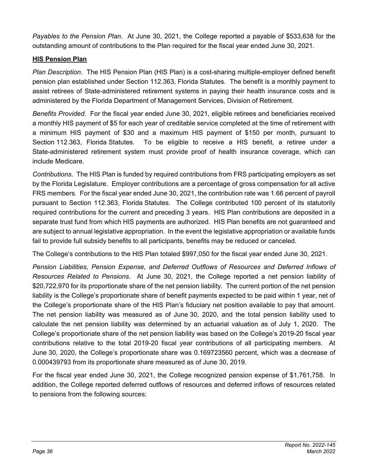*Payables to the Pension Plan*. At June 30, 2021, the College reported a payable of \$533,638 for the outstanding amount of contributions to the Plan required for the fiscal year ended June 30, 2021.

# **HIS Pension Plan**

*Plan Description*. The HIS Pension Plan (HIS Plan) is a cost-sharing multiple-employer defined benefit pension plan established under Section 112.363, Florida Statutes. The benefit is a monthly payment to assist retirees of State-administered retirement systems in paying their health insurance costs and is administered by the Florida Department of Management Services, Division of Retirement.

*Benefits Provided*. For the fiscal year ended June 30, 2021, eligible retirees and beneficiaries received a monthly HIS payment of \$5 for each year of creditable service completed at the time of retirement with a minimum HIS payment of \$30 and a maximum HIS payment of \$150 per month, pursuant to Section 112.363, Florida Statutes. To be eligible to receive a HIS benefit, a retiree under a State-administered retirement system must provide proof of health insurance coverage, which can include Medicare.

*Contributions*. The HIS Plan is funded by required contributions from FRS participating employers as set by the Florida Legislature. Employer contributions are a percentage of gross compensation for all active FRS members. For the fiscal year ended June 30, 2021, the contribution rate was 1.66 percent of payroll pursuant to Section 112.363, Florida Statutes. The College contributed 100 percent of its statutorily required contributions for the current and preceding 3 years. HIS Plan contributions are deposited in a separate trust fund from which HIS payments are authorized. HIS Plan benefits are not guaranteed and are subject to annual legislative appropriation. In the event the legislative appropriation or available funds fail to provide full subsidy benefits to all participants, benefits may be reduced or canceled.

The College's contributions to the HIS Plan totaled \$997,050 for the fiscal year ended June 30, 2021.

*Pension Liabilities, Pension Expense, and Deferred Outflows of Resources and Deferred Inflows of Resources Related to Pensions*. At June 30, 2021, the College reported a net pension liability of \$20,722,970 for its proportionate share of the net pension liability. The current portion of the net pension liability is the College's proportionate share of benefit payments expected to be paid within 1 year, net of the College's proportionate share of the HIS Plan's fiduciary net position available to pay that amount. The net pension liability was measured as of June 30, 2020, and the total pension liability used to calculate the net pension liability was determined by an actuarial valuation as of July 1, 2020. The College's proportionate share of the net pension liability was based on the College's 2019-20 fiscal year contributions relative to the total 2019-20 fiscal year contributions of all participating members. At June 30, 2020, the College's proportionate share was 0.169723560 percent, which was a decrease of 0.000439793 from its proportionate share measured as of June 30, 2019.

For the fiscal year ended June 30, 2021, the College recognized pension expense of \$1,761,758. In addition, the College reported deferred outflows of resources and deferred inflows of resources related to pensions from the following sources: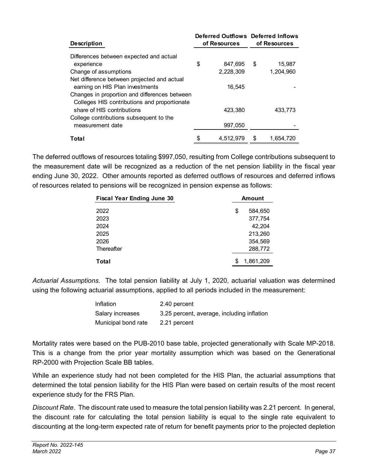| <b>Description</b>                                                                            |    | Deferred Outflows Deferred Inflows<br>of Resources |    | of Resources |  |
|-----------------------------------------------------------------------------------------------|----|----------------------------------------------------|----|--------------|--|
| Differences between expected and actual                                                       |    |                                                    |    |              |  |
| experience                                                                                    | \$ | 847,695                                            | \$ | 15.987       |  |
| Change of assumptions                                                                         |    | 2,228,309                                          |    | 1,204,960    |  |
| Net difference between projected and actual<br>earning on HIS Plan investments                |    | 16.545                                             |    |              |  |
| Changes in proportion and differences between<br>Colleges HIS contributions and proportionate |    |                                                    |    |              |  |
| share of HIS contributions                                                                    |    | 423.380                                            |    | 433.773      |  |
| College contributions subsequent to the                                                       |    |                                                    |    |              |  |
| measurement date                                                                              |    | 997,050                                            |    |              |  |
| Total                                                                                         | \$ | 4.512.979                                          | S  | 1.654.720    |  |

The deferred outflows of resources totaling \$997,050, resulting from College contributions subsequent to the measurement date will be recognized as a reduction of the net pension liability in the fiscal year ending June 30, 2022. Other amounts reported as deferred outflows of resources and deferred inflows of resources related to pensions will be recognized in pension expense as follows:

| <b>Fiscal Year Ending June 30</b> | <b>Amount</b> |  |  |  |
|-----------------------------------|---------------|--|--|--|
| 2022                              | \$<br>584,650 |  |  |  |
| 2023                              | 377,754       |  |  |  |
| 2024                              | 42,204        |  |  |  |
| 2025                              | 213,260       |  |  |  |
| 2026                              | 354,569       |  |  |  |
| Thereafter                        | 288,772       |  |  |  |
| Total                             | 1,861,209     |  |  |  |

*Actuarial Assumptions.* The total pension liability at July 1, 2020, actuarial valuation was determined using the following actuarial assumptions, applied to all periods included in the measurement:

| Inflation           | 2.40 percent                               |
|---------------------|--------------------------------------------|
| Salary increases    | 3.25 percent, average, including inflation |
| Municipal bond rate | 2.21 percent                               |

Mortality rates were based on the PUB-2010 base table, projected generationally with Scale MP-2018. This is a change from the prior year mortality assumption which was based on the Generational RP-2000 with Projection Scale BB tables.

While an experience study had not been completed for the HIS Plan, the actuarial assumptions that determined the total pension liability for the HIS Plan were based on certain results of the most recent experience study for the FRS Plan.

*Discount Rate*. The discount rate used to measure the total pension liability was 2.21 percent. In general, the discount rate for calculating the total pension liability is equal to the single rate equivalent to discounting at the long-term expected rate of return for benefit payments prior to the projected depletion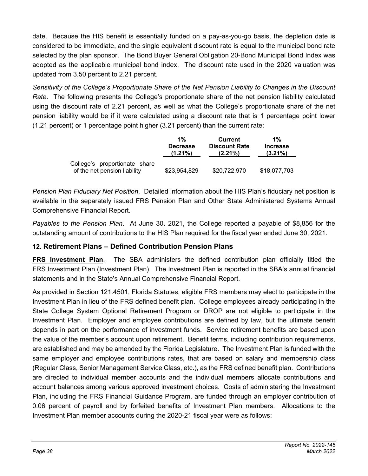date. Because the HIS benefit is essentially funded on a pay-as-you-go basis, the depletion date is considered to be immediate, and the single equivalent discount rate is equal to the municipal bond rate selected by the plan sponsor. The Bond Buyer General Obligation 20-Bond Municipal Bond Index was adopted as the applicable municipal bond index. The discount rate used in the 2020 valuation was updated from 3.50 percent to 2.21 percent.

*Sensitivity of the College's Proportionate Share of the Net Pension Liability to Changes in the Discount Rate*. The following presents the College's proportionate share of the net pension liability calculated using the discount rate of 2.21 percent, as well as what the College's proportionate share of the net pension liability would be if it were calculated using a discount rate that is 1 percentage point lower (1.21 percent) or 1 percentage point higher (3.21 percent) than the current rate:

|                                                               | 1%              | <b>Current</b>       | $1\%$           |
|---------------------------------------------------------------|-----------------|----------------------|-----------------|
|                                                               | <b>Decrease</b> | <b>Discount Rate</b> | <b>Increase</b> |
|                                                               | $(1.21\%)$      | $(2.21\%)$           | $(3.21\%)$      |
| College's proportionate share<br>of the net pension liability | \$23,954,829    | \$20,722,970         | \$18,077,703    |

*Pension Plan Fiduciary Net Position*. Detailed information about the HIS Plan's fiduciary net position is available in the separately issued FRS Pension Plan and Other State Administered Systems Annual Comprehensive Financial Report.

*Payables to the Pension Plan*. At June 30, 2021, the College reported a payable of \$8,856 for the outstanding amount of contributions to the HIS Plan required for the fiscal year ended June 30, 2021.

# **12. Retirement Plans – Defined Contribution Pension Plans**

**FRS Investment Plan**. The SBA administers the defined contribution plan officially titled the FRS Investment Plan (Investment Plan). The Investment Plan is reported in the SBA's annual financial statements and in the State's Annual Comprehensive Financial Report.

As provided in Section 121.4501, Florida Statutes, eligible FRS members may elect to participate in the Investment Plan in lieu of the FRS defined benefit plan. College employees already participating in the State College System Optional Retirement Program or DROP are not eligible to participate in the Investment Plan. Employer and employee contributions are defined by law, but the ultimate benefit depends in part on the performance of investment funds. Service retirement benefits are based upon the value of the member's account upon retirement. Benefit terms, including contribution requirements, are established and may be amended by the Florida Legislature. The Investment Plan is funded with the same employer and employee contributions rates, that are based on salary and membership class (Regular Class, Senior Management Service Class, etc.), as the FRS defined benefit plan. Contributions are directed to individual member accounts and the individual members allocate contributions and account balances among various approved investment choices. Costs of administering the Investment Plan, including the FRS Financial Guidance Program, are funded through an employer contribution of 0.06 percent of payroll and by forfeited benefits of Investment Plan members. Allocations to the Investment Plan member accounts during the 2020-21 fiscal year were as follows: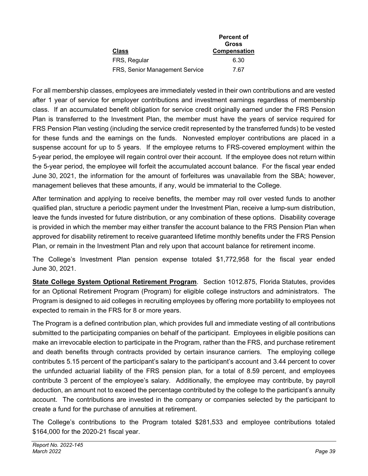|                                | Percent of   |
|--------------------------------|--------------|
|                                | Gross        |
| <b>Class</b>                   | Compensation |
| FRS, Regular                   | 6.30         |
| FRS, Senior Management Service | 7.67         |

For all membership classes, employees are immediately vested in their own contributions and are vested after 1 year of service for employer contributions and investment earnings regardless of membership class. If an accumulated benefit obligation for service credit originally earned under the FRS Pension Plan is transferred to the Investment Plan, the member must have the years of service required for FRS Pension Plan vesting (including the service credit represented by the transferred funds) to be vested for these funds and the earnings on the funds. Nonvested employer contributions are placed in a suspense account for up to 5 years. If the employee returns to FRS-covered employment within the 5-year period, the employee will regain control over their account. If the employee does not return within the 5-year period, the employee will forfeit the accumulated account balance. For the fiscal year ended June 30, 2021, the information for the amount of forfeitures was unavailable from the SBA; however, management believes that these amounts, if any, would be immaterial to the College.

After termination and applying to receive benefits, the member may roll over vested funds to another qualified plan, structure a periodic payment under the Investment Plan, receive a lump-sum distribution, leave the funds invested for future distribution, or any combination of these options. Disability coverage is provided in which the member may either transfer the account balance to the FRS Pension Plan when approved for disability retirement to receive guaranteed lifetime monthly benefits under the FRS Pension Plan, or remain in the Investment Plan and rely upon that account balance for retirement income.

The College's Investment Plan pension expense totaled \$1,772,958 for the fiscal year ended June 30, 2021.

**State College System Optional Retirement Program**. Section 1012.875, Florida Statutes, provides for an Optional Retirement Program (Program) for eligible college instructors and administrators. The Program is designed to aid colleges in recruiting employees by offering more portability to employees not expected to remain in the FRS for 8 or more years.

The Program is a defined contribution plan, which provides full and immediate vesting of all contributions submitted to the participating companies on behalf of the participant. Employees in eligible positions can make an irrevocable election to participate in the Program, rather than the FRS, and purchase retirement and death benefits through contracts provided by certain insurance carriers. The employing college contributes 5.15 percent of the participant's salary to the participant's account and 3.44 percent to cover the unfunded actuarial liability of the FRS pension plan, for a total of 8.59 percent, and employees contribute 3 percent of the employee's salary. Additionally, the employee may contribute, by payroll deduction, an amount not to exceed the percentage contributed by the college to the participant's annuity account. The contributions are invested in the company or companies selected by the participant to create a fund for the purchase of annuities at retirement.

The College's contributions to the Program totaled \$281,533 and employee contributions totaled \$164,000 for the 2020-21 fiscal year.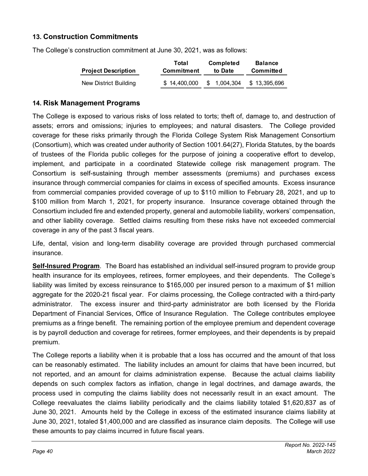# **13. Construction Commitments**

The College's construction commitment at June 30, 2021, was as follows:

| <b>Project Description</b> | Total        | Completed      | <b>Balance</b> |  |  |
|----------------------------|--------------|----------------|----------------|--|--|
|                            | Commitment   | to Date        | Committed      |  |  |
| New District Building      | \$14.400.000 | 1,004,304<br>S | \$13,395,696   |  |  |

# **14. Risk Management Programs**

The College is exposed to various risks of loss related to torts; theft of, damage to, and destruction of assets; errors and omissions; injuries to employees; and natural disasters. The College provided coverage for these risks primarily through the Florida College System Risk Management Consortium (Consortium), which was created under authority of Section 1001.64(27), Florida Statutes, by the boards of trustees of the Florida public colleges for the purpose of joining a cooperative effort to develop, implement, and participate in a coordinated Statewide college risk management program. The Consortium is self-sustaining through member assessments (premiums) and purchases excess insurance through commercial companies for claims in excess of specified amounts. Excess insurance from commercial companies provided coverage of up to \$110 million to February 28, 2021, and up to \$100 million from March 1, 2021, for property insurance. Insurance coverage obtained through the Consortium included fire and extended property, general and automobile liability, workers' compensation, and other liability coverage. Settled claims resulting from these risks have not exceeded commercial coverage in any of the past 3 fiscal years.

Life, dental, vision and long-term disability coverage are provided through purchased commercial insurance.

**Self-Insured Program**. The Board has established an individual self-insured program to provide group health insurance for its employees, retirees, former employees, and their dependents. The College's liability was limited by excess reinsurance to \$165,000 per insured person to a maximum of \$1 million aggregate for the 2020-21 fiscal year. For claims processing, the College contracted with a third-party administrator. The excess insurer and third-party administrator are both licensed by the Florida Department of Financial Services, Office of Insurance Regulation. The College contributes employee premiums as a fringe benefit. The remaining portion of the employee premium and dependent coverage is by payroll deduction and coverage for retirees, former employees, and their dependents is by prepaid premium.

The College reports a liability when it is probable that a loss has occurred and the amount of that loss can be reasonably estimated. The liability includes an amount for claims that have been incurred, but not reported, and an amount for claims administration expense. Because the actual claims liability depends on such complex factors as inflation, change in legal doctrines, and damage awards, the process used in computing the claims liability does not necessarily result in an exact amount. The College reevaluates the claims liability periodically and the claims liability totaled \$1,620,837 as of June 30, 2021. Amounts held by the College in excess of the estimated insurance claims liability at June 30, 2021, totaled \$1,400,000 and are classified as insurance claim deposits. The College will use these amounts to pay claims incurred in future fiscal years.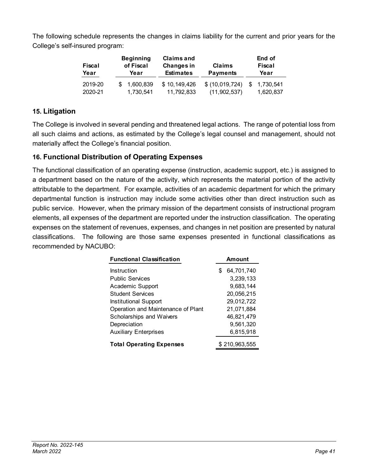The following schedule represents the changes in claims liability for the current and prior years for the College's self-insured program:

| <b>Fiscal</b><br>Year | <b>Beginning</b><br>of Fiscal<br>Year | <b>Claims and</b><br><b>Changes in</b><br><b>Estimates</b> | <b>Claims</b><br><b>Payments</b> | End of<br><b>Fiscal</b><br>Year |  |
|-----------------------|---------------------------------------|------------------------------------------------------------|----------------------------------|---------------------------------|--|
| 2019-20               | 1,600,839                             | \$10,149,426                                               | \$(10,019,724)                   | 1,730,541                       |  |
| 2020-21               | 1,730,541                             | 11,792,833                                                 | (11, 902, 537)                   | 1,620,837                       |  |

# **15. Litigation**

The College is involved in several pending and threatened legal actions. The range of potential loss from all such claims and actions, as estimated by the College's legal counsel and management, should not materially affect the College's financial position.

# **16. Functional Distribution of Operating Expenses**

The functional classification of an operating expense (instruction, academic support, etc.) is assigned to a department based on the nature of the activity, which represents the material portion of the activity attributable to the department. For example, activities of an academic department for which the primary departmental function is instruction may include some activities other than direct instruction such as public service. However, when the primary mission of the department consists of instructional program elements, all expenses of the department are reported under the instruction classification. The operating expenses on the statement of revenues, expenses, and changes in net position are presented by natural classifications. The following are those same expenses presented in functional classifications as recommended by NACUBO:

| <b>Functional Classification</b>   |   | Amount        |
|------------------------------------|---|---------------|
| Instruction                        | S | 64,701,740    |
| <b>Public Services</b>             |   | 3,239,133     |
| Academic Support                   |   | 9,683,144     |
| <b>Student Services</b>            |   | 20,056,215    |
| Institutional Support              |   | 29,012,722    |
| Operation and Maintenance of Plant |   | 21,071,884    |
| Scholarships and Waivers           |   | 46,821,479    |
| Depreciation                       |   | 9,561,320     |
| <b>Auxiliary Enterprises</b>       |   | 6.815.918     |
| <b>Total Operating Expenses</b>    |   | \$210,963,555 |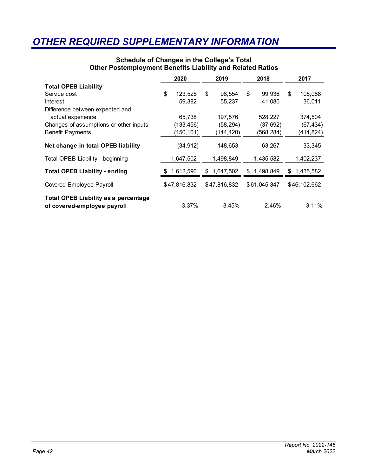# <span id="page-46-0"></span>*OTHER REQUIRED SUPPLEMENTARY INFORMATION*

|                                                                            |     | 2020         | 2019            | 2018            |    | 2017         |
|----------------------------------------------------------------------------|-----|--------------|-----------------|-----------------|----|--------------|
| <b>Total OPEB Liability</b>                                                |     |              |                 |                 |    |              |
| Service cost                                                               | \$  | 123,525      | \$<br>98,554    | \$<br>99,936    | \$ | 105,088      |
| Interest                                                                   |     | 59,382       | 55,237          | 41,080          |    | 36,011       |
| Difference between expected and                                            |     |              |                 |                 |    |              |
| actual experience                                                          |     | 65,738       | 197,576         | 528,227         |    | 374,504      |
| Changes of assumptions or other inputs                                     |     | (133, 456)   | (58, 294)       | (37, 692)       |    | (67, 434)    |
| <b>Benefit Payments</b>                                                    |     | (150, 101)   | (144, 420)      | (568, 284)      |    | (414, 824)   |
| Net change in total OPEB liability                                         |     | (34, 912)    | 148,653         | 63,267          |    | 33,345       |
| Total OPEB Liability - beginning                                           |     | 1,647,502    | 1,498,849       | 1,435,582       |    | 1,402,237    |
| <b>Total OPEB Liability - ending</b>                                       | \$. | 1,612,590    | \$<br>1,647,502 | \$<br>1,498,849 | S  | 1,435,582    |
| Covered-Employee Payroll                                                   |     | \$47,816,832 | \$47,816,832    | \$61,045,347    |    | \$46,102,662 |
| <b>Total OPEB Liability as a percentage</b><br>of covered-employee payroll |     | 3.37%        | 3.45%           | 2.46%           |    | 3.11%        |

# **Schedule of Changes in the College's Total Other Postemployment Benefits Liability and Related Ratios**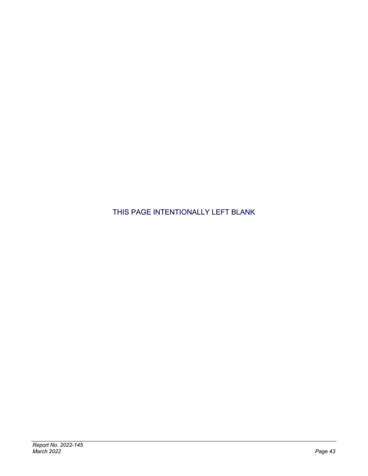THIS PAGE INTENTIONALLY LEFT BLANK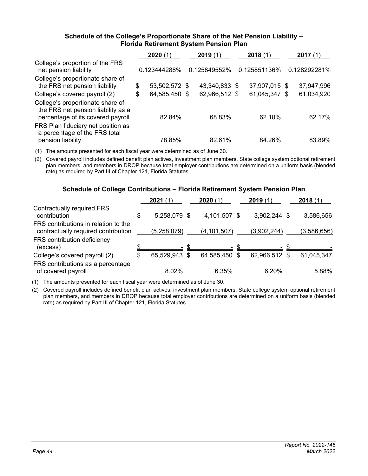# **Schedule of the College's Proportionate Share of the Net Pension Liability – Florida Retirement System Pension Plan**

<span id="page-48-0"></span>

|                                                                                                             | 2020(1)             | 2019(1)       | 2018(1)       | 2017(1)      |
|-------------------------------------------------------------------------------------------------------------|---------------------|---------------|---------------|--------------|
| College's proportion of the FRS<br>net pension liability<br>College's proportionate share of                | 0.123444288%        | 0.125849552%  | 0.125851136%  | 0.128292281% |
| the FRS net pension liability                                                                               | \$<br>53,502,572 \$ | 43,340,833 \$ | 37,907,015 \$ | 37,947,996   |
| College's covered payroll (2)                                                                               | \$<br>64,585,450 \$ | 62,966,512 \$ | 61,045,347 \$ | 61,034,920   |
| College's proportionate share of<br>the FRS net pension liability as a<br>percentage of its covered payroll | 82.84%              | 68.83%        | 62.10%        | 62.17%       |
| FRS Plan fiduciary net position as<br>a percentage of the FRS total<br>pension liability                    | 78.85%              | 82.61%        | 84.26%        | 83.89%       |

(1) The amounts presented for each fiscal year were determined as of June 30.

(2) Covered payroll includes defined benefit plan actives, investment plan members, State college system optional retirement plan members, and members in DROP because total employer contributions are determined on a uniform basis (blended rate) as required by Part III of Chapter 121, Florida Statutes.

# **Schedule of College Contributions – Florida Retirement System Pension Plan**

|                                                                             | 2021(1)             | 2020(1)                  | 2019(1)       | 2018(1)     |
|-----------------------------------------------------------------------------|---------------------|--------------------------|---------------|-------------|
| <b>Contractually required FRS</b><br>contribution                           | \$<br>5,258,079 \$  | 4,101,507 \$             | 3,902,244 \$  | 3,586,656   |
| FRS contributions in relation to the<br>contractually required contribution | (5, 258, 079)       | (4, 101, 507)            | (3,902,244)   | (3,586,656) |
| FRS contribution deficiency<br>(excess)                                     |                     | $\overline{\phantom{0}}$ |               |             |
| College's covered payroll (2)                                               | \$<br>65,529,943 \$ | 64,585,450 \$            | 62,966,512 \$ | 61.045.347  |
| FRS contributions as a percentage<br>of covered payroll                     | 8.02%               | 6.35%                    | 6.20%         | 5.88%       |

(1) The amounts presented for each fiscal year were determined as of June 30.

(2) Covered payroll includes defined benefit plan actives, investment plan members, State college system optional retirement plan members, and members in DROP because total employer contributions are determined on a uniform basis (blended rate) as required by Part III of Chapter 121, Florida Statutes.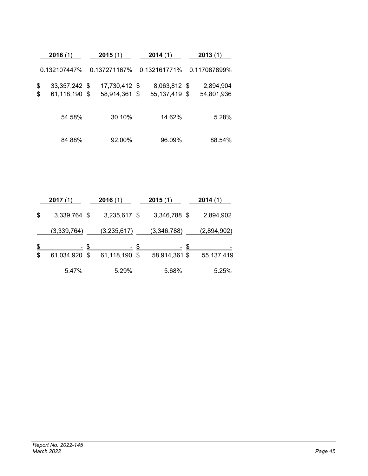| 2016(1)  |                             | 2015(1) |                             |      |                                 | 2013(1) |                         |  |  |
|----------|-----------------------------|---------|-----------------------------|------|---------------------------------|---------|-------------------------|--|--|
|          | 0.132107447%                |         | 0.137271167%                |      | 0.132161771%                    |         | 0.117087899%            |  |  |
| \$<br>\$ | 33,357,242 \$<br>61,118,190 | - \$    | 17,730,412 \$<br>58,914,361 | - \$ | 8,063,812 \$<br>55, 137, 419 \$ |         | 2,894,904<br>54,801,936 |  |  |
|          | 54.58%                      |         | 30.10%                      |      | 14.62%                          |         | 5.28%                   |  |  |
|          | 84.88%                      |         | 92.00%                      |      | 96.09%                          |         | 88.54%                  |  |  |

|    | 2017 (1       | 2016(1)       | 2015(1)       | 2014(        |
|----|---------------|---------------|---------------|--------------|
| \$ | 3,339,764 \$  | 3,235,617 \$  | 3,346,788 \$  | 2,894,902    |
|    | (3,339,764)   | (3,235,617)   | (3,346,788)   | (2,894,902)  |
|    |               |               |               |              |
| \$ | 61,034,920 \$ | 61,118,190 \$ | 58,914,361 \$ | 55, 137, 419 |
|    | 5.47%         | 5.29%         | 5.68%         | 5.25%        |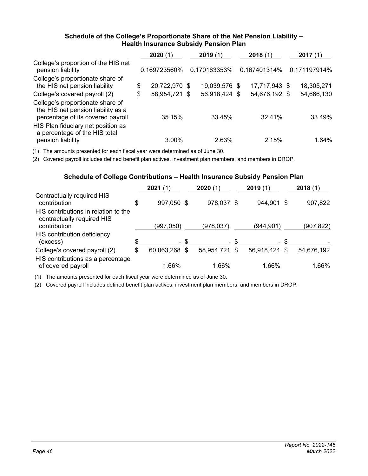# **Schedule of the College's Proportionate Share of the Net Pension Liability – Health Insurance Subsidy Pension Plan**

<span id="page-50-0"></span>

|                                                                                                             | 2020(1)             | 2019(1)       | 2018(1)       | 2017 (1      |
|-------------------------------------------------------------------------------------------------------------|---------------------|---------------|---------------|--------------|
| College's proportion of the HIS net<br>pension liability<br>College's proportionate share of                | 0.169723560%        | 0.170163353%  | 0.167401314%  | 0.171197914% |
| the HIS net pension liability                                                                               | \$<br>20,722,970 \$ | 19,039,576 \$ | 17,717,943 \$ | 18,305,271   |
| College's covered payroll (2)                                                                               | \$<br>58,954,721 \$ | 56,918,424 \$ | 54,676,192 \$ | 54,666,130   |
| College's proportionate share of<br>the HIS net pension liability as a<br>percentage of its covered payroll | 35.15%              | 33.45%        | 32.41%        | 33.49%       |
| HIS Plan fiduciary net position as<br>a percentage of the HIS total<br>pension liability                    | 3.00%               | 2.63%         | 2.15%         | 1.64%        |

(1) The amounts presented for each fiscal year were determined as of June 30.

(2) Covered payroll includes defined benefit plan actives, investment plan members, and members in DROP.

# **Schedule of College Contributions – Health Insurance Subsidy Pension Plan**

|                                                                    | 2021(1)                  | 2020(1)             | 2019(1)                  |     | 2018(1)          |
|--------------------------------------------------------------------|--------------------------|---------------------|--------------------------|-----|------------------|
| Contractually required HIS<br>contribution                         | \$<br>997,050 \$         | 978,037 \$          | 944,901 \$               |     | 907,822          |
| HIS contributions in relation to the<br>contractually required HIS |                          |                     |                          |     |                  |
| contribution                                                       | (997,050)                | (978, 037)          | (944, 901)               |     | <u>(907,822)</u> |
| HIS contribution deficiency                                        |                          |                     |                          |     |                  |
| (excess)                                                           | $\overline{\phantom{0}}$ |                     | $\overline{\phantom{0}}$ |     |                  |
| College's covered payroll (2)                                      | \$<br>60,063,268         | \$<br>58,954,721 \$ | 56,918,424               | -\$ | 54,676,192       |
| HIS contributions as a percentage<br>of covered payroll            | 1.66%                    | 1.66%               | 1.66%                    |     | 1.66%            |

(1) The amounts presented for each fiscal year were determined as of June 30.

(2) Covered payroll includes defined benefit plan actives, investment plan members, and members in DROP.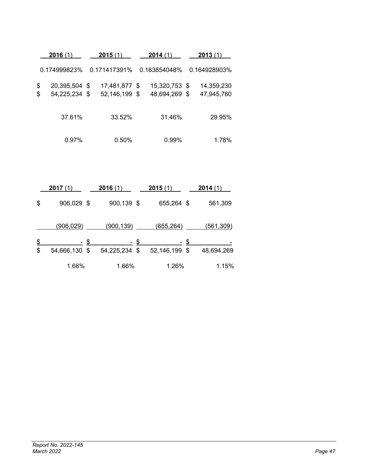|          | 2016(1)                     | 2015(1)                             |      | 2014(1)                        | 2013(1) |                          |  |
|----------|-----------------------------|-------------------------------------|------|--------------------------------|---------|--------------------------|--|
|          | 0.174999823%                | 0.171417391%                        |      | 0.163854048%                   |         | 0.164928903%             |  |
| \$<br>\$ | 20,395,504 \$<br>54,225,234 | 17,481,877 \$<br>52,146,199<br>- \$ | - \$ | 15,320,753 \$<br>48,694,269 \$ |         | 14,359,230<br>47,945,780 |  |
|          | 37.61%                      | 33.52%                              |      | 31.46%                         |         | 29.95%                   |  |
|          | 0.97%                       | 0.50%                               |      | 0.99%                          |         | 1.78%                    |  |

| 2017(1)             | 2016(1)       | 2015(1)       | 2014(1)    |
|---------------------|---------------|---------------|------------|
| \$<br>906,029 \$    | 900,139 \$    | 655,264 \$    | 561,309    |
| (906, 029)          | (900, 139)    | (655, 264)    | (561,309)  |
|                     |               | - \$          |            |
| \$<br>54,666,130 \$ | 54,225,234 \$ | 52,146,199 \$ | 48,694,269 |
| 1.66%               | 1.66%         | 1.26%         | 1.15%      |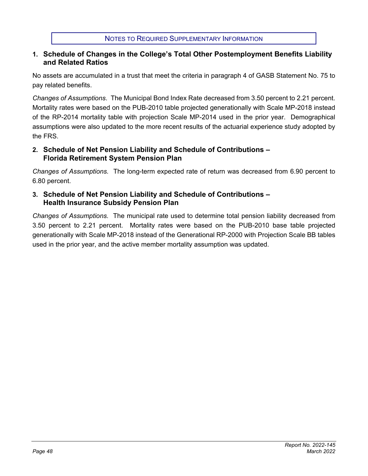# <span id="page-52-0"></span>**1. Schedule of Changes in the College's Total Other Postemployment Benefits Liability and Related Ratios**

No assets are accumulated in a trust that meet the criteria in paragraph 4 of GASB Statement No. 75 to pay related benefits.

*Changes of Assumptions*. The Municipal Bond Index Rate decreased from 3.50 percent to 2.21 percent. Mortality rates were based on the PUB-2010 table projected generationally with Scale MP-2018 instead of the RP-2014 mortality table with projection Scale MP-2014 used in the prior year. Demographical assumptions were also updated to the more recent results of the actuarial experience study adopted by the FRS.

# **2. Schedule of Net Pension Liability and Schedule of Contributions – Florida Retirement System Pension Plan**

*Changes of Assumptions.* The long-term expected rate of return was decreased from 6.90 percent to 6.80 percent.

# **3. Schedule of Net Pension Liability and Schedule of Contributions – Health Insurance Subsidy Pension Plan**

*Changes of Assumptions.* The municipal rate used to determine total pension liability decreased from 3.50 percent to 2.21 percent. Mortality rates were based on the PUB-2010 base table projected generationally with Scale MP-2018 instead of the Generational RP-2000 with Projection Scale BB tables used in the prior year, and the active member mortality assumption was updated.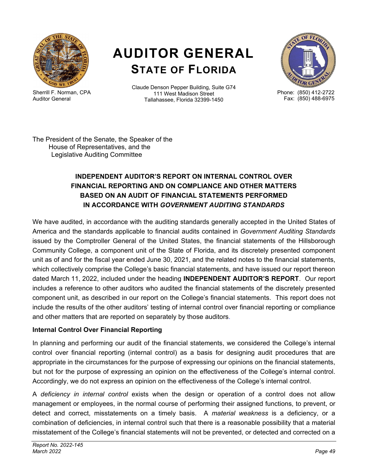<span id="page-53-0"></span>

Sherrill F. Norman, CPA Auditor General

# **AUDITOR GENERAL STATE OF FLORIDA**

Claude Denson Pepper Building, Suite G74 111 West Madison Street Tallahassee, Florida 32399-1450



Phone: (850) 412-2722 Fax: (850) 488-6975

The President of the Senate, the Speaker of the House of Representatives, and the Legislative Auditing Committee

# **INDEPENDENT AUDITOR'S REPORT ON INTERNAL CONTROL OVER FINANCIAL REPORTING AND ON COMPLIANCE AND OTHER MATTERS BASED ON AN AUDIT OF FINANCIAL STATEMENTS PERFORMED IN ACCORDANCE WITH** *GOVERNMENT AUDITING STANDARDS*

We have audited, in accordance with the auditing standards generally accepted in the United States of America and the standards applicable to financial audits contained in *Government Auditing Standards* issued by the Comptroller General of the United States, the financial statements of the Hillsborough Community College, a component unit of the State of Florida, and its discretely presented component unit as of and for the fiscal year ended June 30, 2021, and the related notes to the financial statements, which collectively comprise the College's basic financial statements, and have issued our report thereon dated March 11, 2022, included under the heading **INDEPENDENT AUDITOR'S REPORT**. Our report includes a reference to other auditors who audited the financial statements of the discretely presented component unit, as described in our report on the College's financial statements. This report does not include the results of the other auditors' testing of internal control over financial reporting or compliance and other matters that are reported on separately by those auditors.

# **Internal Control Over Financial Reporting**

In planning and performing our audit of the financial statements, we considered the College's internal control over financial reporting (internal control) as a basis for designing audit procedures that are appropriate in the circumstances for the purpose of expressing our opinions on the financial statements, but not for the purpose of expressing an opinion on the effectiveness of the College's internal control. Accordingly, we do not express an opinion on the effectiveness of the College's internal control.

A *deficiency in internal control* exists when the design or operation of a control does not allow management or employees, in the normal course of performing their assigned functions, to prevent, or detect and correct, misstatements on a timely basis. A *material weakness* is a deficiency, or a combination of deficiencies, in internal control such that there is a reasonable possibility that a material misstatement of the College's financial statements will not be prevented, or detected and corrected on a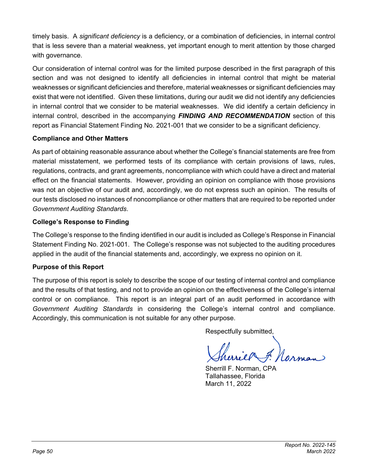<span id="page-54-0"></span>timely basis. A *significant deficiency* is a deficiency, or a combination of deficiencies, in internal control that is less severe than a material weakness, yet important enough to merit attention by those charged with governance.

Our consideration of internal control was for the limited purpose described in the first paragraph of this section and was not designed to identify all deficiencies in internal control that might be material weaknesses or significant deficiencies and therefore, material weaknesses or significant deficiencies may exist that were not identified. Given these limitations, during our audit we did not identify any deficiencies in internal control that we consider to be material weaknesses. We did identify a certain deficiency in internal control, described in the accompanying *FINDING AND RECOMMENDATION* section of this report as Financial Statement Finding No. 2021-001 that we consider to be a significant deficiency.

# **Compliance and Other Matters**

As part of obtaining reasonable assurance about whether the College's financial statements are free from material misstatement, we performed tests of its compliance with certain provisions of laws, rules, regulations, contracts, and grant agreements, noncompliance with which could have a direct and material effect on the financial statements. However, providing an opinion on compliance with those provisions was not an objective of our audit and, accordingly, we do not express such an opinion. The results of our tests disclosed no instances of noncompliance or other matters that are required to be reported under *Government Auditing Standards*.

# **College's Response to Finding**

The College's response to the finding identified in our audit is included as College's Response in Financial Statement Finding No. 2021-001. The College's response was not subjected to the auditing procedures applied in the audit of the financial statements and, accordingly, we express no opinion on it.

# **Purpose of this Report**

The purpose of this report is solely to describe the scope of our testing of internal control and compliance and the results of that testing, and not to provide an opinion on the effectiveness of the College's internal control or on compliance. This report is an integral part of an audit performed in accordance with *Government Auditing Standards* in considering the College's internal control and compliance. Accordingly, this communication is not suitable for any other purpose.

Respectfully submitted,

Sherrill F. Norman, CPA Tallahassee, Florida March 11, 2022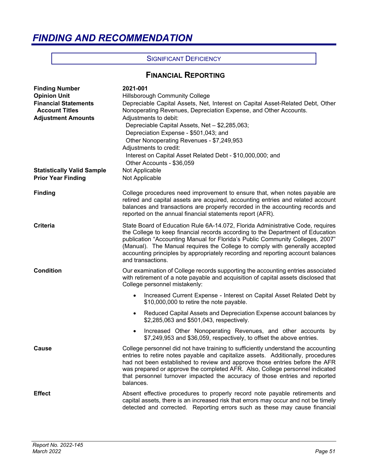# <span id="page-55-0"></span>*FINDING AND RECOMMENDATION*

# SIGNIFICANT DEFICIENCY

# **FINANCIAL REPORTING**

| <b>Finding Number</b>             | 2021-001                                                                                                                                                          |
|-----------------------------------|-------------------------------------------------------------------------------------------------------------------------------------------------------------------|
| <b>Opinion Unit</b>               | <b>Hillsborough Community College</b>                                                                                                                             |
| <b>Financial Statements</b>       | Depreciable Capital Assets, Net, Interest on Capital Asset-Related Debt, Other                                                                                    |
| <b>Account Titles</b>             | Nonoperating Revenues, Depreciation Expense, and Other Accounts.                                                                                                  |
| <b>Adjustment Amounts</b>         | Adjustments to debit:                                                                                                                                             |
|                                   | Depreciable Capital Assets, Net - \$2,285,063;                                                                                                                    |
|                                   | Depreciation Expense - \$501,043; and                                                                                                                             |
|                                   | Other Nonoperating Revenues - \$7,249,953                                                                                                                         |
|                                   | Adjustments to credit:                                                                                                                                            |
|                                   | Interest on Capital Asset Related Debt - \$10,000,000; and                                                                                                        |
|                                   | Other Accounts - \$36,059                                                                                                                                         |
| <b>Statistically Valid Sample</b> | Not Applicable                                                                                                                                                    |
| <b>Prior Year Finding</b>         | Not Applicable                                                                                                                                                    |
| <b>Finding</b>                    | College procedures need improvement to ensure that, when notes payable are                                                                                        |
|                                   | retired and capital assets are acquired, accounting entries and related account                                                                                   |
|                                   | balances and transactions are properly recorded in the accounting records and                                                                                     |
|                                   | reported on the annual financial statements report (AFR).                                                                                                         |
| <b>Criteria</b>                   | State Board of Education Rule 6A-14.072, Florida Administrative Code, requires                                                                                    |
|                                   | the College to keep financial records according to the Department of Education                                                                                    |
|                                   | publication "Accounting Manual for Florida's Public Community Colleges, 2007"<br>(Manual). The Manual requires the College to comply with generally accepted      |
|                                   | accounting principles by appropriately recording and reporting account balances                                                                                   |
|                                   | and transactions.                                                                                                                                                 |
| <b>Condition</b>                  | Our examination of College records supporting the accounting entries associated                                                                                   |
|                                   | with retirement of a note payable and acquisition of capital assets disclosed that                                                                                |
|                                   | College personnel mistakenly:                                                                                                                                     |
|                                   | Increased Current Expense - Interest on Capital Asset Related Debt by<br>$\bullet$                                                                                |
|                                   | \$10,000,000 to retire the note payable.                                                                                                                          |
|                                   | Reduced Capital Assets and Depreciation Expense account balances by                                                                                               |
|                                   | \$2,285,063 and \$501,043, respectively.                                                                                                                          |
|                                   | Increased Other Nonoperating Revenues, and other accounts by<br>$\bullet$                                                                                         |
|                                   | \$7,249,953 and \$36,059, respectively, to offset the above entries.                                                                                              |
| Cause                             | College personnel did not have training to sufficiently understand the accounting                                                                                 |
|                                   | entries to retire notes payable and capitalize assets. Additionally, procedures                                                                                   |
|                                   | had not been established to review and approve those entries before the AFR                                                                                       |
|                                   | was prepared or approve the completed AFR. Also, College personnel indicated                                                                                      |
|                                   | that personnel turnover impacted the accuracy of those entries and reported<br>balances.                                                                          |
|                                   |                                                                                                                                                                   |
| <b>Effect</b>                     | Absent effective procedures to properly record note payable retirements and<br>capital assets, there is an increased risk that errors may occur and not be timely |
|                                   | detected and corrected. Reporting errors such as these may cause financial                                                                                        |
|                                   |                                                                                                                                                                   |